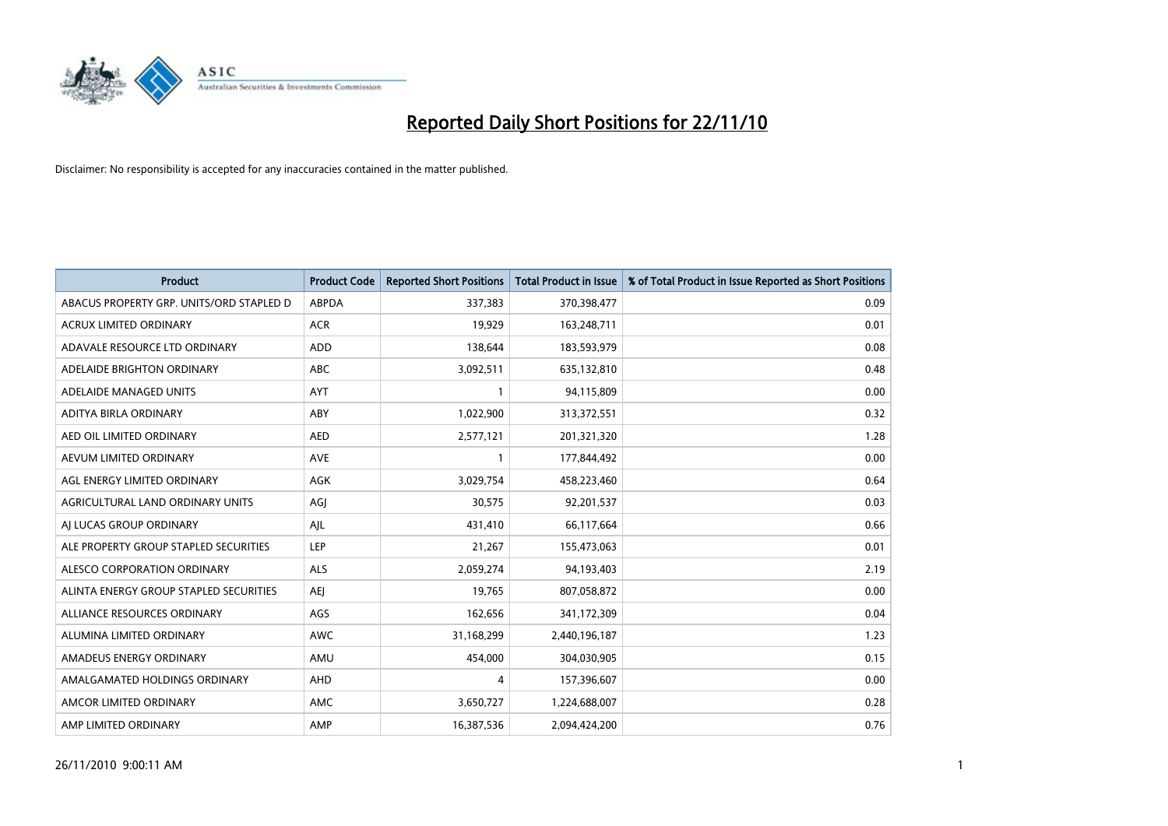

| Product                                  | <b>Product Code</b> | <b>Reported Short Positions</b> | <b>Total Product in Issue</b> | % of Total Product in Issue Reported as Short Positions |
|------------------------------------------|---------------------|---------------------------------|-------------------------------|---------------------------------------------------------|
| ABACUS PROPERTY GRP. UNITS/ORD STAPLED D | <b>ABPDA</b>        | 337,383                         | 370,398,477                   | 0.09                                                    |
| ACRUX LIMITED ORDINARY                   | <b>ACR</b>          | 19,929                          | 163,248,711                   | 0.01                                                    |
| ADAVALE RESOURCE LTD ORDINARY            | <b>ADD</b>          | 138,644                         | 183,593,979                   | 0.08                                                    |
| ADELAIDE BRIGHTON ORDINARY               | <b>ABC</b>          | 3,092,511                       | 635,132,810                   | 0.48                                                    |
| ADELAIDE MANAGED UNITS                   | <b>AYT</b>          |                                 | 94,115,809                    | 0.00                                                    |
| ADITYA BIRLA ORDINARY                    | ABY                 | 1,022,900                       | 313,372,551                   | 0.32                                                    |
| AED OIL LIMITED ORDINARY                 | <b>AED</b>          | 2,577,121                       | 201,321,320                   | 1.28                                                    |
| AEVUM LIMITED ORDINARY                   | <b>AVE</b>          |                                 | 177,844,492                   | 0.00                                                    |
| AGL ENERGY LIMITED ORDINARY              | <b>AGK</b>          | 3,029,754                       | 458,223,460                   | 0.64                                                    |
| AGRICULTURAL LAND ORDINARY UNITS         | AGI                 | 30,575                          | 92,201,537                    | 0.03                                                    |
| AI LUCAS GROUP ORDINARY                  | AJL                 | 431,410                         | 66,117,664                    | 0.66                                                    |
| ALE PROPERTY GROUP STAPLED SECURITIES    | LEP                 | 21,267                          | 155,473,063                   | 0.01                                                    |
| ALESCO CORPORATION ORDINARY              | ALS                 | 2,059,274                       | 94,193,403                    | 2.19                                                    |
| ALINTA ENERGY GROUP STAPLED SECURITIES   | <b>AEI</b>          | 19,765                          | 807,058,872                   | 0.00                                                    |
| ALLIANCE RESOURCES ORDINARY              | AGS                 | 162,656                         | 341,172,309                   | 0.04                                                    |
| ALUMINA LIMITED ORDINARY                 | <b>AWC</b>          | 31,168,299                      | 2,440,196,187                 | 1.23                                                    |
| AMADEUS ENERGY ORDINARY                  | AMU                 | 454,000                         | 304,030,905                   | 0.15                                                    |
| AMALGAMATED HOLDINGS ORDINARY            | AHD                 | 4                               | 157,396,607                   | 0.00                                                    |
| AMCOR LIMITED ORDINARY                   | AMC                 | 3,650,727                       | 1,224,688,007                 | 0.28                                                    |
| AMP LIMITED ORDINARY                     | AMP                 | 16,387,536                      | 2,094,424,200                 | 0.76                                                    |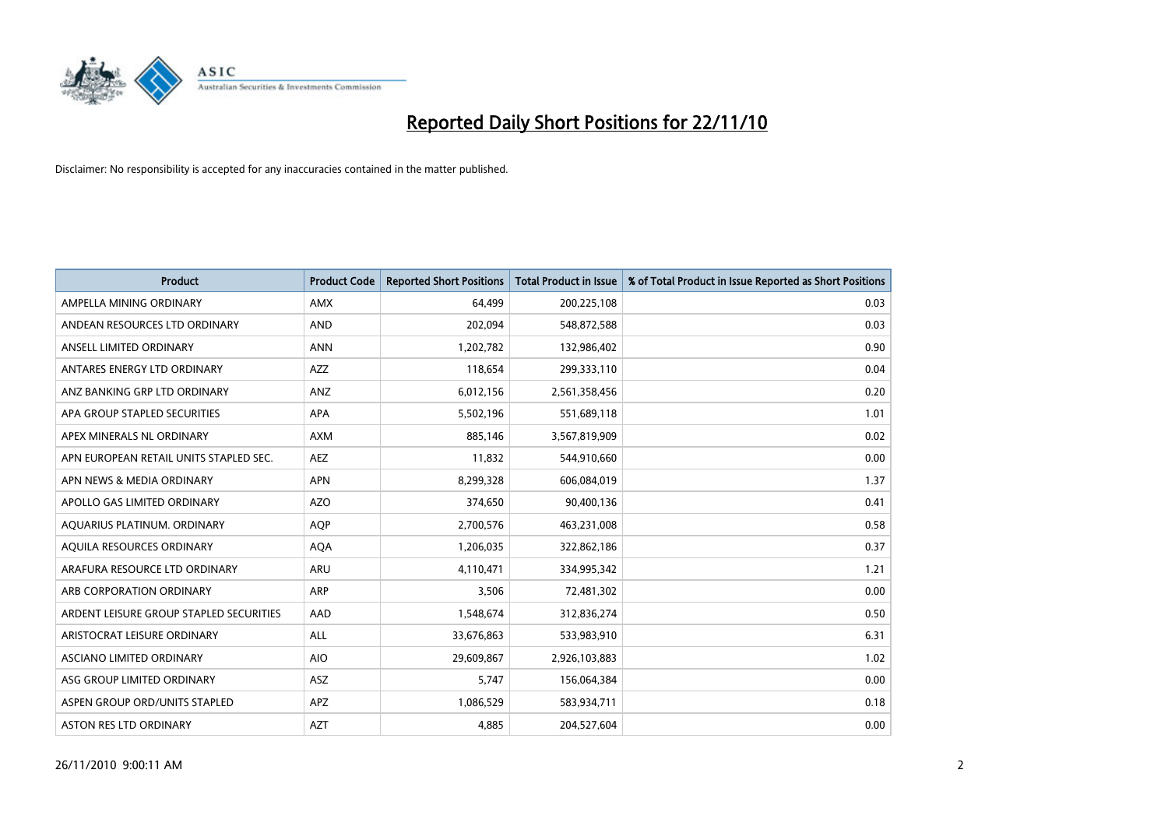

| <b>Product</b>                          | <b>Product Code</b> | <b>Reported Short Positions</b> | <b>Total Product in Issue</b> | % of Total Product in Issue Reported as Short Positions |
|-----------------------------------------|---------------------|---------------------------------|-------------------------------|---------------------------------------------------------|
| AMPELLA MINING ORDINARY                 | <b>AMX</b>          | 64,499                          | 200,225,108                   | 0.03                                                    |
| ANDEAN RESOURCES LTD ORDINARY           | <b>AND</b>          | 202,094                         | 548,872,588                   | 0.03                                                    |
| ANSELL LIMITED ORDINARY                 | <b>ANN</b>          | 1,202,782                       | 132,986,402                   | 0.90                                                    |
| ANTARES ENERGY LTD ORDINARY             | <b>AZZ</b>          | 118,654                         | 299,333,110                   | 0.04                                                    |
| ANZ BANKING GRP LTD ORDINARY            | ANZ                 | 6,012,156                       | 2,561,358,456                 | 0.20                                                    |
| APA GROUP STAPLED SECURITIES            | <b>APA</b>          | 5,502,196                       | 551,689,118                   | 1.01                                                    |
| APEX MINERALS NL ORDINARY               | <b>AXM</b>          | 885,146                         | 3,567,819,909                 | 0.02                                                    |
| APN EUROPEAN RETAIL UNITS STAPLED SEC.  | <b>AEZ</b>          | 11,832                          | 544,910,660                   | 0.00                                                    |
| APN NEWS & MEDIA ORDINARY               | <b>APN</b>          | 8,299,328                       | 606,084,019                   | 1.37                                                    |
| APOLLO GAS LIMITED ORDINARY             | <b>AZO</b>          | 374,650                         | 90,400,136                    | 0.41                                                    |
| AQUARIUS PLATINUM. ORDINARY             | <b>AQP</b>          | 2,700,576                       | 463,231,008                   | 0.58                                                    |
| AQUILA RESOURCES ORDINARY               | <b>AQA</b>          | 1,206,035                       | 322,862,186                   | 0.37                                                    |
| ARAFURA RESOURCE LTD ORDINARY           | <b>ARU</b>          | 4,110,471                       | 334,995,342                   | 1.21                                                    |
| ARB CORPORATION ORDINARY                | ARP                 | 3,506                           | 72,481,302                    | 0.00                                                    |
| ARDENT LEISURE GROUP STAPLED SECURITIES | AAD                 | 1,548,674                       | 312,836,274                   | 0.50                                                    |
| ARISTOCRAT LEISURE ORDINARY             | ALL                 | 33,676,863                      | 533,983,910                   | 6.31                                                    |
| ASCIANO LIMITED ORDINARY                | <b>AIO</b>          | 29,609,867                      | 2,926,103,883                 | 1.02                                                    |
| ASG GROUP LIMITED ORDINARY              | <b>ASZ</b>          | 5,747                           | 156,064,384                   | 0.00                                                    |
| ASPEN GROUP ORD/UNITS STAPLED           | APZ                 | 1,086,529                       | 583,934,711                   | 0.18                                                    |
| <b>ASTON RES LTD ORDINARY</b>           | <b>AZT</b>          | 4,885                           | 204,527,604                   | 0.00                                                    |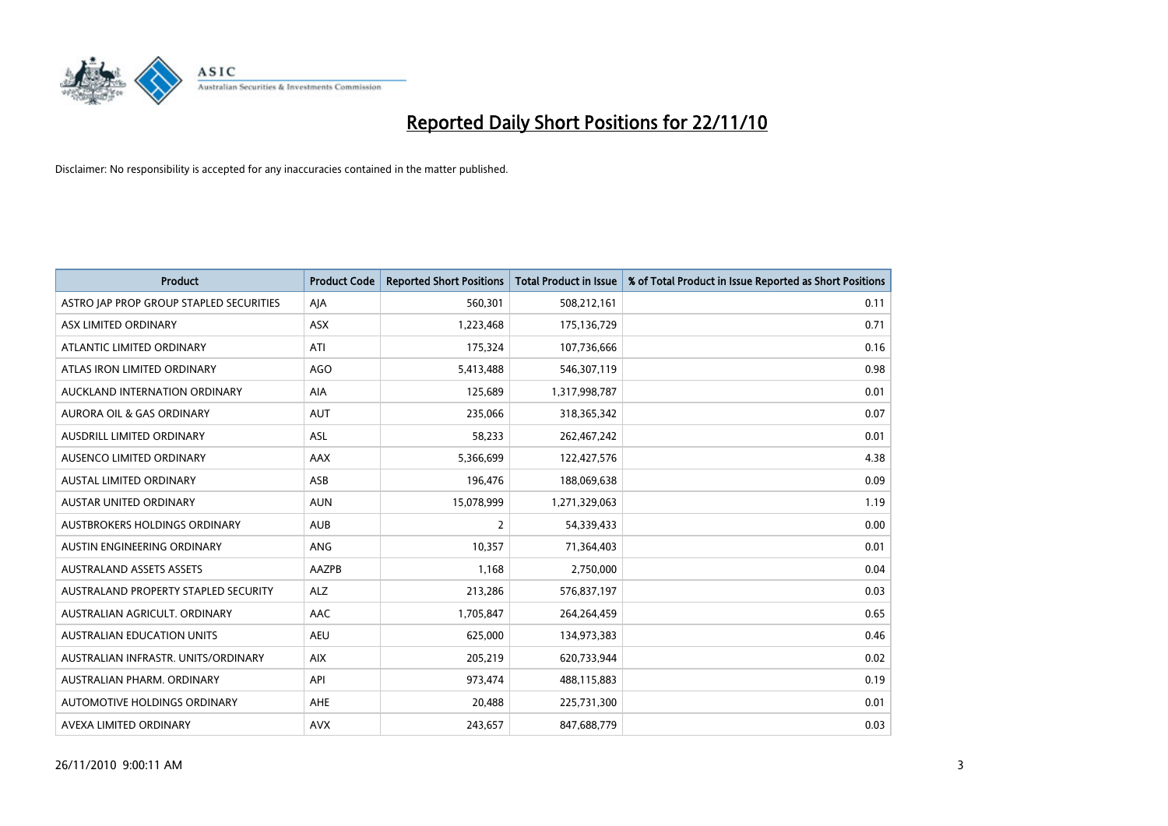

| <b>Product</b>                          | <b>Product Code</b> | <b>Reported Short Positions</b> | Total Product in Issue | % of Total Product in Issue Reported as Short Positions |
|-----------------------------------------|---------------------|---------------------------------|------------------------|---------------------------------------------------------|
| ASTRO JAP PROP GROUP STAPLED SECURITIES | AJA                 | 560,301                         | 508,212,161            | 0.11                                                    |
| ASX LIMITED ORDINARY                    | ASX                 | 1,223,468                       | 175,136,729            | 0.71                                                    |
| ATLANTIC LIMITED ORDINARY               | ATI                 | 175,324                         | 107,736,666            | 0.16                                                    |
| ATLAS IRON LIMITED ORDINARY             | <b>AGO</b>          | 5,413,488                       | 546,307,119            | 0.98                                                    |
| <b>AUCKLAND INTERNATION ORDINARY</b>    | <b>AIA</b>          | 125,689                         | 1,317,998,787          | 0.01                                                    |
| AURORA OIL & GAS ORDINARY               | <b>AUT</b>          | 235,066                         | 318,365,342            | 0.07                                                    |
| <b>AUSDRILL LIMITED ORDINARY</b>        | <b>ASL</b>          | 58,233                          | 262,467,242            | 0.01                                                    |
| AUSENCO LIMITED ORDINARY                | AAX                 | 5,366,699                       | 122,427,576            | 4.38                                                    |
| AUSTAL LIMITED ORDINARY                 | ASB                 | 196,476                         | 188,069,638            | 0.09                                                    |
| <b>AUSTAR UNITED ORDINARY</b>           | <b>AUN</b>          | 15,078,999                      | 1,271,329,063          | 1.19                                                    |
| AUSTBROKERS HOLDINGS ORDINARY           | <b>AUB</b>          | 2                               | 54,339,433             | 0.00                                                    |
| AUSTIN ENGINEERING ORDINARY             | ANG                 | 10,357                          | 71,364,403             | 0.01                                                    |
| <b>AUSTRALAND ASSETS ASSETS</b>         | AAZPB               | 1,168                           | 2,750,000              | 0.04                                                    |
| AUSTRALAND PROPERTY STAPLED SECURITY    | <b>ALZ</b>          | 213,286                         | 576,837,197            | 0.03                                                    |
| AUSTRALIAN AGRICULT, ORDINARY           | AAC                 | 1,705,847                       | 264,264,459            | 0.65                                                    |
| AUSTRALIAN EDUCATION UNITS              | <b>AEU</b>          | 625,000                         | 134,973,383            | 0.46                                                    |
| AUSTRALIAN INFRASTR, UNITS/ORDINARY     | <b>AIX</b>          | 205,219                         | 620,733,944            | 0.02                                                    |
| AUSTRALIAN PHARM. ORDINARY              | API                 | 973,474                         | 488,115,883            | 0.19                                                    |
| <b>AUTOMOTIVE HOLDINGS ORDINARY</b>     | <b>AHE</b>          | 20,488                          | 225,731,300            | 0.01                                                    |
| AVEXA LIMITED ORDINARY                  | <b>AVX</b>          | 243,657                         | 847,688,779            | 0.03                                                    |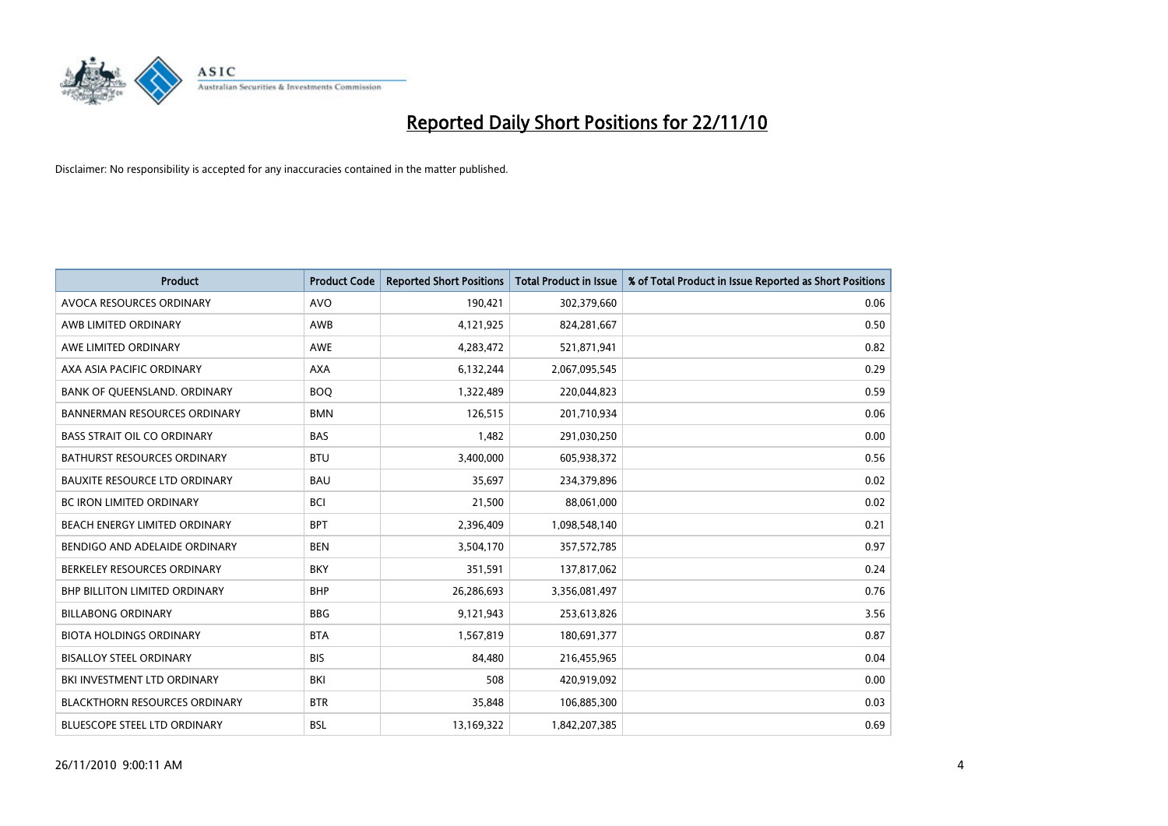

| Product                              | <b>Product Code</b> | <b>Reported Short Positions</b> | Total Product in Issue | % of Total Product in Issue Reported as Short Positions |
|--------------------------------------|---------------------|---------------------------------|------------------------|---------------------------------------------------------|
| AVOCA RESOURCES ORDINARY             | <b>AVO</b>          | 190,421                         | 302,379,660            | 0.06                                                    |
| AWB LIMITED ORDINARY                 | AWB                 | 4,121,925                       | 824,281,667            | 0.50                                                    |
| AWE LIMITED ORDINARY                 | <b>AWE</b>          | 4,283,472                       | 521,871,941            | 0.82                                                    |
| AXA ASIA PACIFIC ORDINARY            | <b>AXA</b>          | 6,132,244                       | 2,067,095,545          | 0.29                                                    |
| <b>BANK OF OUEENSLAND, ORDINARY</b>  | <b>BOQ</b>          | 1,322,489                       | 220,044,823            | 0.59                                                    |
| <b>BANNERMAN RESOURCES ORDINARY</b>  | <b>BMN</b>          | 126,515                         | 201,710,934            | 0.06                                                    |
| <b>BASS STRAIT OIL CO ORDINARY</b>   | <b>BAS</b>          | 1,482                           | 291,030,250            | 0.00                                                    |
| <b>BATHURST RESOURCES ORDINARY</b>   | <b>BTU</b>          | 3,400,000                       | 605,938,372            | 0.56                                                    |
| <b>BAUXITE RESOURCE LTD ORDINARY</b> | <b>BAU</b>          | 35,697                          | 234,379,896            | 0.02                                                    |
| <b>BC IRON LIMITED ORDINARY</b>      | <b>BCI</b>          | 21,500                          | 88,061,000             | 0.02                                                    |
| BEACH ENERGY LIMITED ORDINARY        | <b>BPT</b>          | 2,396,409                       | 1,098,548,140          | 0.21                                                    |
| BENDIGO AND ADELAIDE ORDINARY        | <b>BEN</b>          | 3,504,170                       | 357,572,785            | 0.97                                                    |
| BERKELEY RESOURCES ORDINARY          | <b>BKY</b>          | 351,591                         | 137,817,062            | 0.24                                                    |
| <b>BHP BILLITON LIMITED ORDINARY</b> | <b>BHP</b>          | 26,286,693                      | 3,356,081,497          | 0.76                                                    |
| <b>BILLABONG ORDINARY</b>            | <b>BBG</b>          | 9,121,943                       | 253,613,826            | 3.56                                                    |
| <b>BIOTA HOLDINGS ORDINARY</b>       | <b>BTA</b>          | 1,567,819                       | 180,691,377            | 0.87                                                    |
| <b>BISALLOY STEEL ORDINARY</b>       | <b>BIS</b>          | 84,480                          | 216,455,965            | 0.04                                                    |
| BKI INVESTMENT LTD ORDINARY          | <b>BKI</b>          | 508                             | 420,919,092            | 0.00                                                    |
| <b>BLACKTHORN RESOURCES ORDINARY</b> | <b>BTR</b>          | 35,848                          | 106,885,300            | 0.03                                                    |
| <b>BLUESCOPE STEEL LTD ORDINARY</b>  | <b>BSL</b>          | 13,169,322                      | 1,842,207,385          | 0.69                                                    |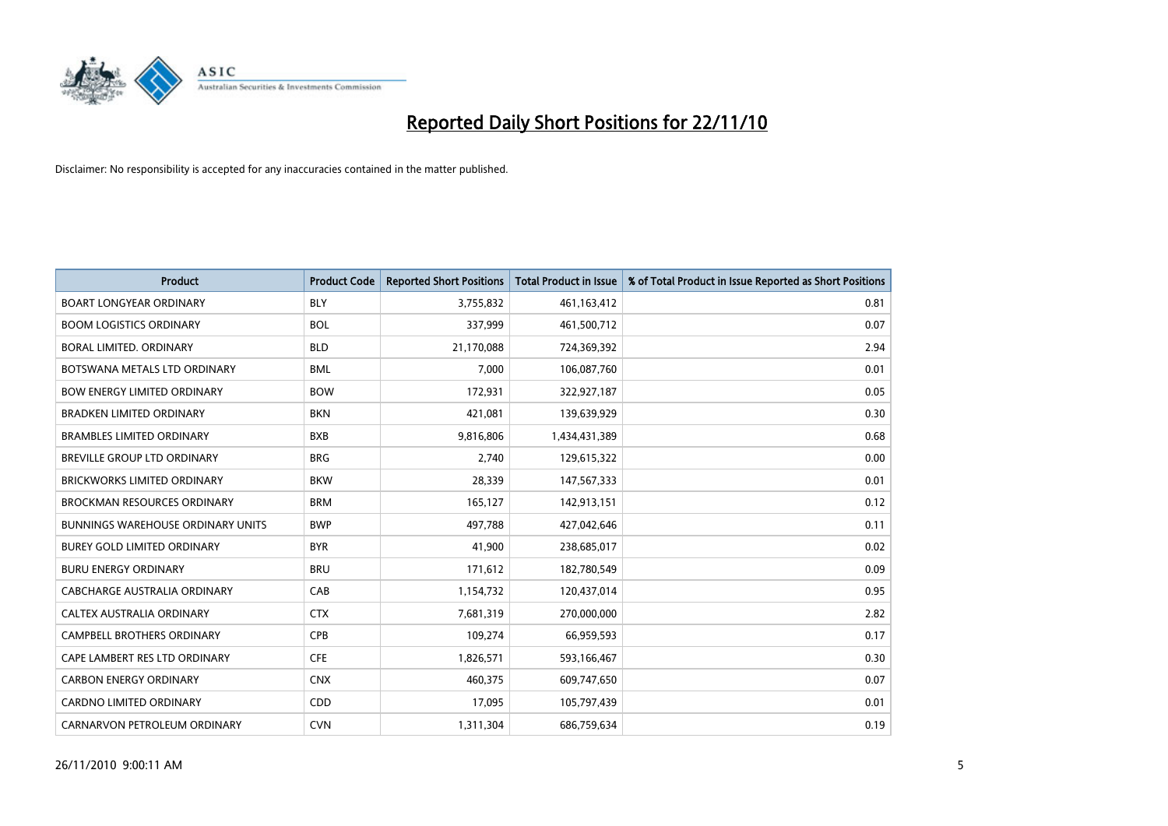

| Product                                  | <b>Product Code</b> | <b>Reported Short Positions</b> | <b>Total Product in Issue</b> | % of Total Product in Issue Reported as Short Positions |
|------------------------------------------|---------------------|---------------------------------|-------------------------------|---------------------------------------------------------|
| <b>BOART LONGYEAR ORDINARY</b>           | <b>BLY</b>          | 3,755,832                       | 461,163,412                   | 0.81                                                    |
| <b>BOOM LOGISTICS ORDINARY</b>           | <b>BOL</b>          | 337,999                         | 461,500,712                   | 0.07                                                    |
| BORAL LIMITED, ORDINARY                  | <b>BLD</b>          | 21,170,088                      | 724,369,392                   | 2.94                                                    |
| BOTSWANA METALS LTD ORDINARY             | <b>BML</b>          | 7,000                           | 106,087,760                   | 0.01                                                    |
| <b>BOW ENERGY LIMITED ORDINARY</b>       | <b>BOW</b>          | 172,931                         | 322,927,187                   | 0.05                                                    |
| <b>BRADKEN LIMITED ORDINARY</b>          | <b>BKN</b>          | 421,081                         | 139,639,929                   | 0.30                                                    |
| <b>BRAMBLES LIMITED ORDINARY</b>         | <b>BXB</b>          | 9,816,806                       | 1,434,431,389                 | 0.68                                                    |
| BREVILLE GROUP LTD ORDINARY              | <b>BRG</b>          | 2,740                           | 129,615,322                   | 0.00                                                    |
| BRICKWORKS LIMITED ORDINARY              | <b>BKW</b>          | 28,339                          | 147,567,333                   | 0.01                                                    |
| <b>BROCKMAN RESOURCES ORDINARY</b>       | <b>BRM</b>          | 165,127                         | 142,913,151                   | 0.12                                                    |
| <b>BUNNINGS WAREHOUSE ORDINARY UNITS</b> | <b>BWP</b>          | 497,788                         | 427,042,646                   | 0.11                                                    |
| <b>BUREY GOLD LIMITED ORDINARY</b>       | <b>BYR</b>          | 41,900                          | 238,685,017                   | 0.02                                                    |
| <b>BURU ENERGY ORDINARY</b>              | <b>BRU</b>          | 171,612                         | 182,780,549                   | 0.09                                                    |
| <b>CABCHARGE AUSTRALIA ORDINARY</b>      | CAB                 | 1,154,732                       | 120,437,014                   | 0.95                                                    |
| CALTEX AUSTRALIA ORDINARY                | <b>CTX</b>          | 7,681,319                       | 270,000,000                   | 2.82                                                    |
| CAMPBELL BROTHERS ORDINARY               | <b>CPB</b>          | 109,274                         | 66,959,593                    | 0.17                                                    |
| CAPE LAMBERT RES LTD ORDINARY            | <b>CFE</b>          | 1,826,571                       | 593,166,467                   | 0.30                                                    |
| <b>CARBON ENERGY ORDINARY</b>            | <b>CNX</b>          | 460,375                         | 609,747,650                   | 0.07                                                    |
| CARDNO LIMITED ORDINARY                  | CDD                 | 17,095                          | 105,797,439                   | 0.01                                                    |
| CARNARVON PETROLEUM ORDINARY             | <b>CVN</b>          | 1,311,304                       | 686,759,634                   | 0.19                                                    |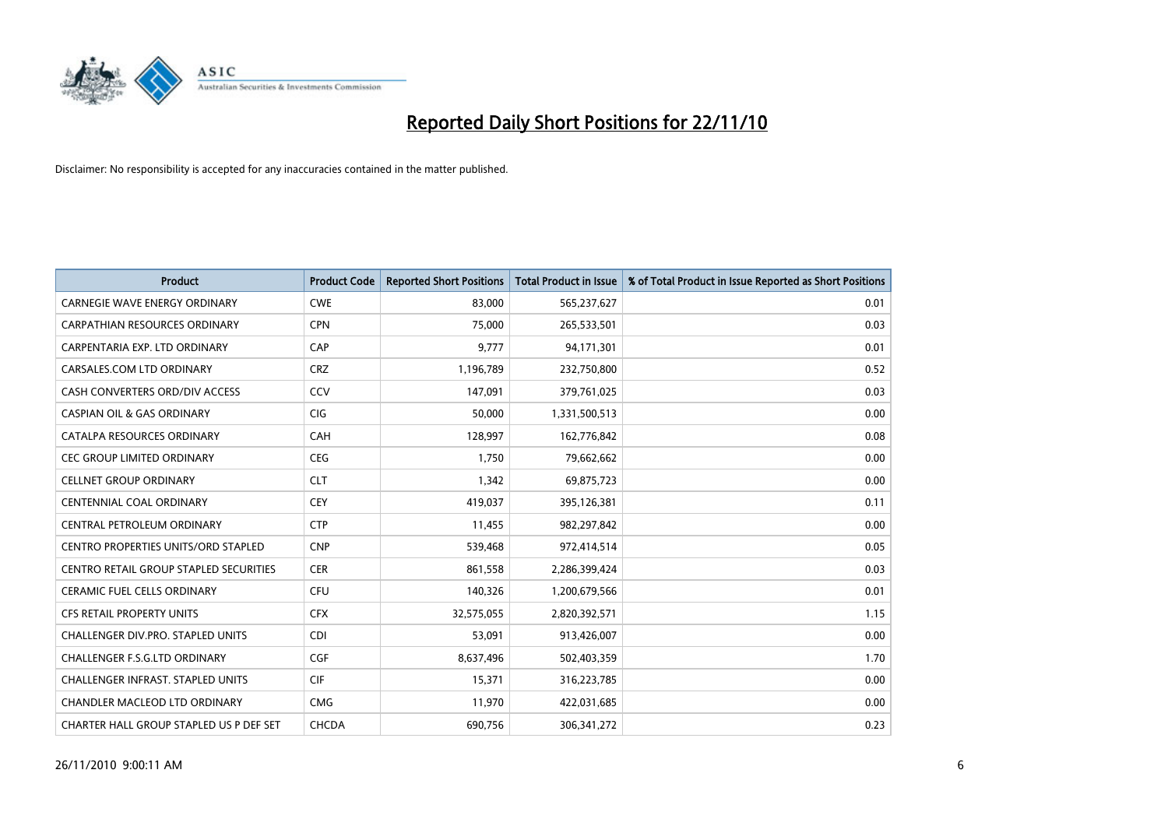

| <b>Product</b>                                | <b>Product Code</b> | <b>Reported Short Positions</b> | Total Product in Issue | % of Total Product in Issue Reported as Short Positions |
|-----------------------------------------------|---------------------|---------------------------------|------------------------|---------------------------------------------------------|
| <b>CARNEGIE WAVE ENERGY ORDINARY</b>          | <b>CWE</b>          | 83,000                          | 565,237,627            | 0.01                                                    |
| <b>CARPATHIAN RESOURCES ORDINARY</b>          | <b>CPN</b>          | 75,000                          | 265,533,501            | 0.03                                                    |
| CARPENTARIA EXP. LTD ORDINARY                 | CAP                 | 9,777                           | 94,171,301             | 0.01                                                    |
| CARSALES.COM LTD ORDINARY                     | <b>CRZ</b>          | 1,196,789                       | 232,750,800            | 0.52                                                    |
| CASH CONVERTERS ORD/DIV ACCESS                | CCV                 | 147.091                         | 379,761,025            | 0.03                                                    |
| <b>CASPIAN OIL &amp; GAS ORDINARY</b>         | <b>CIG</b>          | 50,000                          | 1,331,500,513          | 0.00                                                    |
| CATALPA RESOURCES ORDINARY                    | CAH                 | 128,997                         | 162,776,842            | 0.08                                                    |
| <b>CEC GROUP LIMITED ORDINARY</b>             | <b>CEG</b>          | 1,750                           | 79,662,662             | 0.00                                                    |
| <b>CELLNET GROUP ORDINARY</b>                 | <b>CLT</b>          | 1,342                           | 69,875,723             | 0.00                                                    |
| <b>CENTENNIAL COAL ORDINARY</b>               | <b>CEY</b>          | 419,037                         | 395,126,381            | 0.11                                                    |
| CENTRAL PETROLEUM ORDINARY                    | <b>CTP</b>          | 11,455                          | 982,297,842            | 0.00                                                    |
| <b>CENTRO PROPERTIES UNITS/ORD STAPLED</b>    | <b>CNP</b>          | 539,468                         | 972,414,514            | 0.05                                                    |
| <b>CENTRO RETAIL GROUP STAPLED SECURITIES</b> | <b>CER</b>          | 861,558                         | 2,286,399,424          | 0.03                                                    |
| <b>CERAMIC FUEL CELLS ORDINARY</b>            | <b>CFU</b>          | 140,326                         | 1,200,679,566          | 0.01                                                    |
| <b>CFS RETAIL PROPERTY UNITS</b>              | <b>CFX</b>          | 32,575,055                      | 2,820,392,571          | 1.15                                                    |
| <b>CHALLENGER DIV.PRO. STAPLED UNITS</b>      | <b>CDI</b>          | 53,091                          | 913,426,007            | 0.00                                                    |
| <b>CHALLENGER F.S.G.LTD ORDINARY</b>          | <b>CGF</b>          | 8,637,496                       | 502,403,359            | 1.70                                                    |
| CHALLENGER INFRAST. STAPLED UNITS             | <b>CIF</b>          | 15,371                          | 316,223,785            | 0.00                                                    |
| <b>CHANDLER MACLEOD LTD ORDINARY</b>          | <b>CMG</b>          | 11,970                          | 422,031,685            | 0.00                                                    |
| CHARTER HALL GROUP STAPLED US P DEF SET       | CHCDA               | 690,756                         | 306, 341, 272          | 0.23                                                    |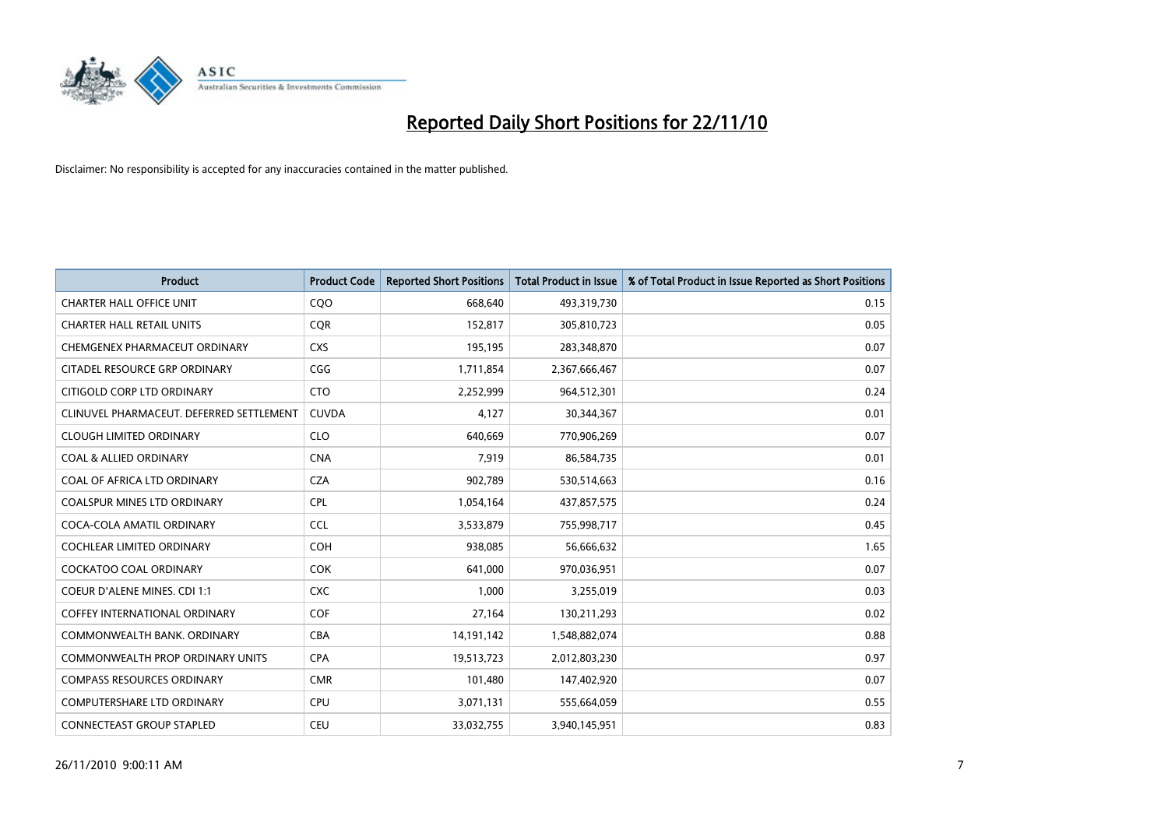

| <b>Product</b>                           | <b>Product Code</b> | <b>Reported Short Positions</b> | Total Product in Issue | % of Total Product in Issue Reported as Short Positions |
|------------------------------------------|---------------------|---------------------------------|------------------------|---------------------------------------------------------|
| <b>CHARTER HALL OFFICE UNIT</b>          | CQO                 | 668,640                         | 493,319,730            | 0.15                                                    |
| <b>CHARTER HALL RETAIL UNITS</b>         | <b>COR</b>          | 152,817                         | 305,810,723            | 0.05                                                    |
| CHEMGENEX PHARMACEUT ORDINARY            | <b>CXS</b>          | 195,195                         | 283,348,870            | 0.07                                                    |
| CITADEL RESOURCE GRP ORDINARY            | CGG                 | 1,711,854                       | 2,367,666,467          | 0.07                                                    |
| CITIGOLD CORP LTD ORDINARY               | <b>CTO</b>          | 2,252,999                       | 964,512,301            | 0.24                                                    |
| CLINUVEL PHARMACEUT. DEFERRED SETTLEMENT | <b>CUVDA</b>        | 4,127                           | 30,344,367             | 0.01                                                    |
| <b>CLOUGH LIMITED ORDINARY</b>           | <b>CLO</b>          | 640,669                         | 770,906,269            | 0.07                                                    |
| <b>COAL &amp; ALLIED ORDINARY</b>        | <b>CNA</b>          | 7,919                           | 86,584,735             | 0.01                                                    |
| COAL OF AFRICA LTD ORDINARY              | <b>CZA</b>          | 902,789                         | 530,514,663            | 0.16                                                    |
| <b>COALSPUR MINES LTD ORDINARY</b>       | <b>CPL</b>          | 1,054,164                       | 437,857,575            | 0.24                                                    |
| COCA-COLA AMATIL ORDINARY                | <b>CCL</b>          | 3,533,879                       | 755,998,717            | 0.45                                                    |
| COCHLEAR LIMITED ORDINARY                | <b>COH</b>          | 938,085                         | 56,666,632             | 1.65                                                    |
| <b>COCKATOO COAL ORDINARY</b>            | <b>COK</b>          | 641,000                         | 970,036,951            | 0.07                                                    |
| <b>COEUR D'ALENE MINES. CDI 1:1</b>      | <b>CXC</b>          | 1,000                           | 3,255,019              | 0.03                                                    |
| <b>COFFEY INTERNATIONAL ORDINARY</b>     | <b>COF</b>          | 27,164                          | 130,211,293            | 0.02                                                    |
| COMMONWEALTH BANK, ORDINARY              | <b>CBA</b>          | 14,191,142                      | 1,548,882,074          | 0.88                                                    |
| <b>COMMONWEALTH PROP ORDINARY UNITS</b>  | <b>CPA</b>          | 19,513,723                      | 2,012,803,230          | 0.97                                                    |
| <b>COMPASS RESOURCES ORDINARY</b>        | <b>CMR</b>          | 101,480                         | 147,402,920            | 0.07                                                    |
| <b>COMPUTERSHARE LTD ORDINARY</b>        | <b>CPU</b>          | 3,071,131                       | 555,664,059            | 0.55                                                    |
| <b>CONNECTEAST GROUP STAPLED</b>         | <b>CEU</b>          | 33,032,755                      | 3,940,145,951          | 0.83                                                    |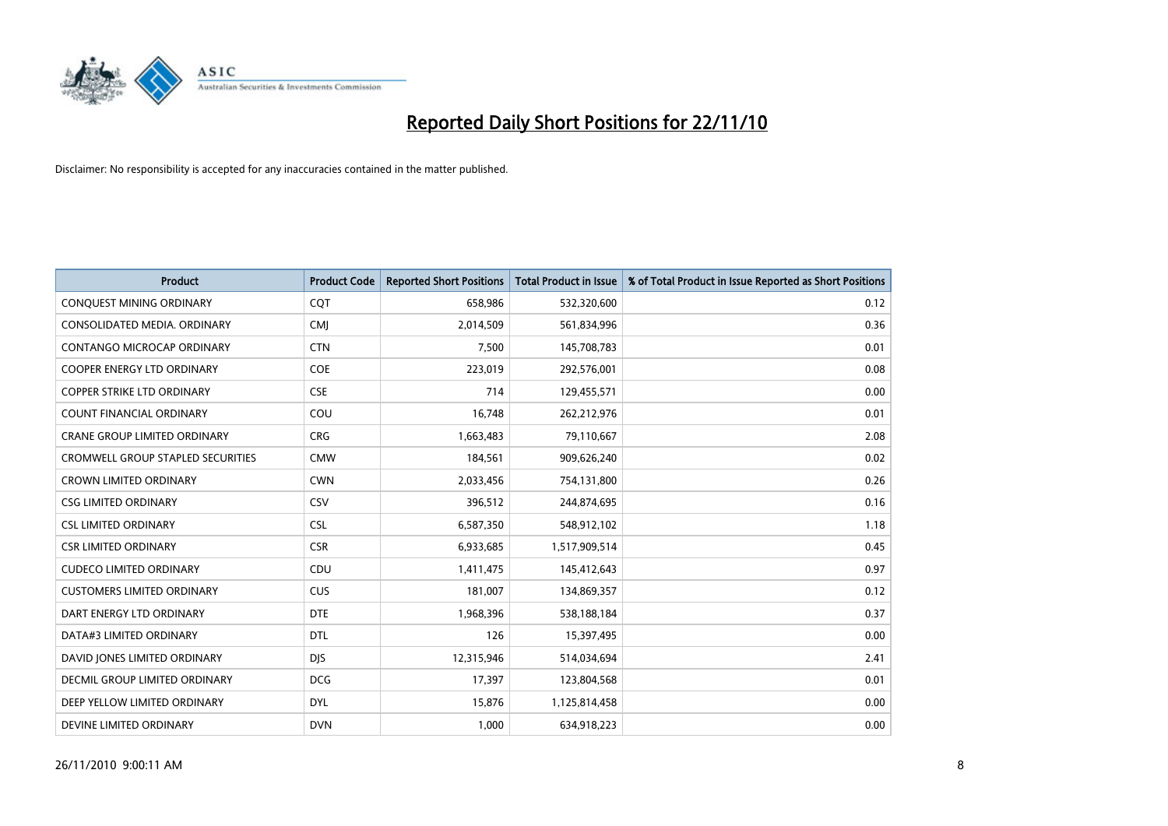

| Product                                  | <b>Product Code</b> | <b>Reported Short Positions</b> | <b>Total Product in Issue</b> | % of Total Product in Issue Reported as Short Positions |
|------------------------------------------|---------------------|---------------------------------|-------------------------------|---------------------------------------------------------|
| CONQUEST MINING ORDINARY                 | CQT                 | 658,986                         | 532,320,600                   | 0.12                                                    |
| CONSOLIDATED MEDIA. ORDINARY             | <b>CMI</b>          | 2,014,509                       | 561,834,996                   | 0.36                                                    |
| <b>CONTANGO MICROCAP ORDINARY</b>        | <b>CTN</b>          | 7,500                           | 145,708,783                   | 0.01                                                    |
| COOPER ENERGY LTD ORDINARY               | <b>COE</b>          | 223,019                         | 292,576,001                   | 0.08                                                    |
| <b>COPPER STRIKE LTD ORDINARY</b>        | <b>CSE</b>          | 714                             | 129,455,571                   | 0.00                                                    |
| <b>COUNT FINANCIAL ORDINARY</b>          | COU                 | 16,748                          | 262,212,976                   | 0.01                                                    |
| <b>CRANE GROUP LIMITED ORDINARY</b>      | <b>CRG</b>          | 1,663,483                       | 79,110,667                    | 2.08                                                    |
| <b>CROMWELL GROUP STAPLED SECURITIES</b> | <b>CMW</b>          | 184,561                         | 909,626,240                   | 0.02                                                    |
| <b>CROWN LIMITED ORDINARY</b>            | <b>CWN</b>          | 2,033,456                       | 754,131,800                   | 0.26                                                    |
| <b>CSG LIMITED ORDINARY</b>              | CSV                 | 396,512                         | 244,874,695                   | 0.16                                                    |
| <b>CSL LIMITED ORDINARY</b>              | <b>CSL</b>          | 6,587,350                       | 548,912,102                   | 1.18                                                    |
| <b>CSR LIMITED ORDINARY</b>              | <b>CSR</b>          | 6,933,685                       | 1,517,909,514                 | 0.45                                                    |
| <b>CUDECO LIMITED ORDINARY</b>           | CDU                 | 1,411,475                       | 145,412,643                   | 0.97                                                    |
| <b>CUSTOMERS LIMITED ORDINARY</b>        | <b>CUS</b>          | 181,007                         | 134,869,357                   | 0.12                                                    |
| DART ENERGY LTD ORDINARY                 | <b>DTE</b>          | 1,968,396                       | 538,188,184                   | 0.37                                                    |
| DATA#3 LIMITED ORDINARY                  | <b>DTL</b>          | 126                             | 15,397,495                    | 0.00                                                    |
| DAVID JONES LIMITED ORDINARY             | <b>DJS</b>          | 12,315,946                      | 514,034,694                   | 2.41                                                    |
| <b>DECMIL GROUP LIMITED ORDINARY</b>     | <b>DCG</b>          | 17,397                          | 123,804,568                   | 0.01                                                    |
| DEEP YELLOW LIMITED ORDINARY             | <b>DYL</b>          | 15,876                          | 1,125,814,458                 | 0.00                                                    |
| DEVINE LIMITED ORDINARY                  | <b>DVN</b>          | 1,000                           | 634,918,223                   | 0.00                                                    |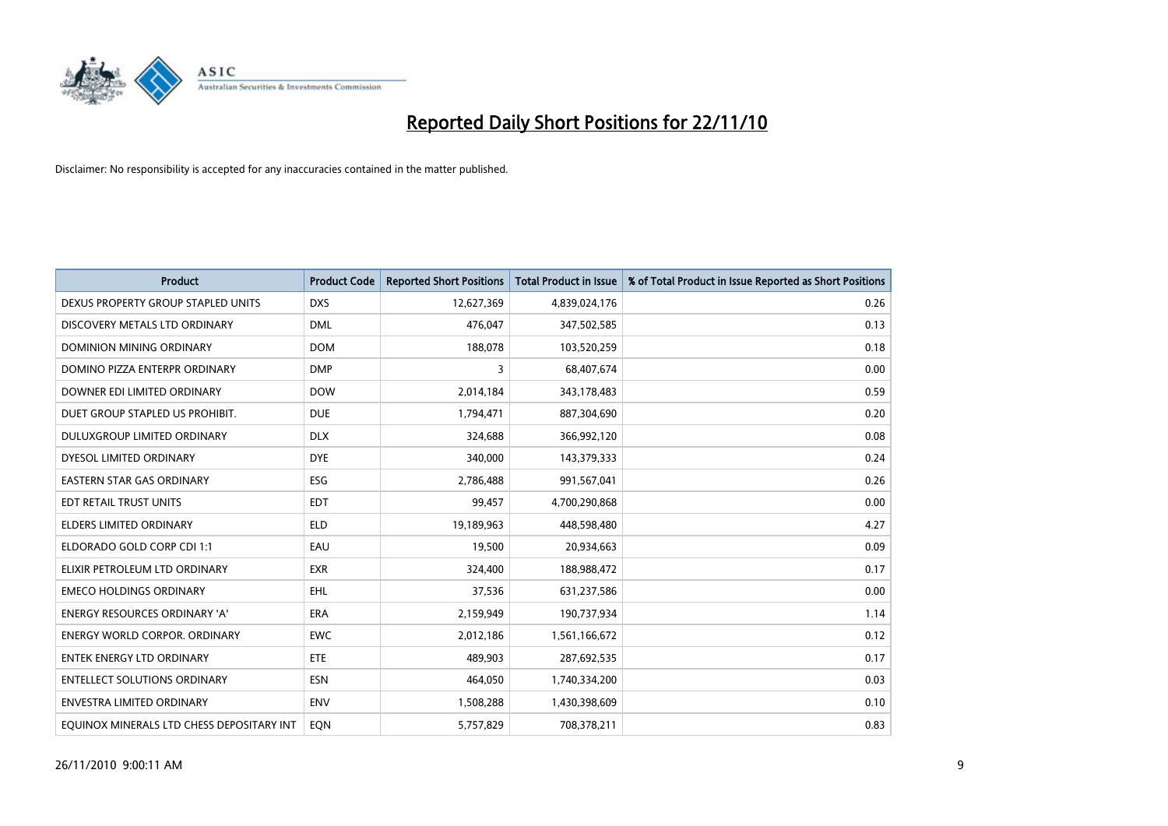

| <b>Product</b>                            | <b>Product Code</b> | <b>Reported Short Positions</b> | <b>Total Product in Issue</b> | % of Total Product in Issue Reported as Short Positions |
|-------------------------------------------|---------------------|---------------------------------|-------------------------------|---------------------------------------------------------|
| DEXUS PROPERTY GROUP STAPLED UNITS        | <b>DXS</b>          | 12,627,369                      | 4,839,024,176                 | 0.26                                                    |
| DISCOVERY METALS LTD ORDINARY             | <b>DML</b>          | 476,047                         | 347,502,585                   | 0.13                                                    |
| DOMINION MINING ORDINARY                  | <b>DOM</b>          | 188,078                         | 103,520,259                   | 0.18                                                    |
| DOMINO PIZZA ENTERPR ORDINARY             | <b>DMP</b>          | 3                               | 68,407,674                    | 0.00                                                    |
| DOWNER EDI LIMITED ORDINARY               | <b>DOW</b>          | 2,014,184                       | 343,178,483                   | 0.59                                                    |
| DUET GROUP STAPLED US PROHIBIT.           | <b>DUE</b>          | 1,794,471                       | 887,304,690                   | 0.20                                                    |
| <b>DULUXGROUP LIMITED ORDINARY</b>        | <b>DLX</b>          | 324,688                         | 366,992,120                   | 0.08                                                    |
| DYESOL LIMITED ORDINARY                   | <b>DYE</b>          | 340,000                         | 143,379,333                   | 0.24                                                    |
| EASTERN STAR GAS ORDINARY                 | ESG                 | 2,786,488                       | 991,567,041                   | 0.26                                                    |
| EDT RETAIL TRUST UNITS                    | <b>EDT</b>          | 99,457                          | 4,700,290,868                 | 0.00                                                    |
| <b>ELDERS LIMITED ORDINARY</b>            | <b>ELD</b>          | 19,189,963                      | 448,598,480                   | 4.27                                                    |
| ELDORADO GOLD CORP CDI 1:1                | EAU                 | 19,500                          | 20,934,663                    | 0.09                                                    |
| ELIXIR PETROLEUM LTD ORDINARY             | <b>EXR</b>          | 324,400                         | 188,988,472                   | 0.17                                                    |
| <b>EMECO HOLDINGS ORDINARY</b>            | <b>EHL</b>          | 37,536                          | 631,237,586                   | 0.00                                                    |
| <b>ENERGY RESOURCES ORDINARY 'A'</b>      | <b>ERA</b>          | 2,159,949                       | 190,737,934                   | 1.14                                                    |
| <b>ENERGY WORLD CORPOR, ORDINARY</b>      | <b>EWC</b>          | 2,012,186                       | 1,561,166,672                 | 0.12                                                    |
| <b>ENTEK ENERGY LTD ORDINARY</b>          | <b>ETE</b>          | 489,903                         | 287,692,535                   | 0.17                                                    |
| <b>ENTELLECT SOLUTIONS ORDINARY</b>       | <b>ESN</b>          | 464,050                         | 1,740,334,200                 | 0.03                                                    |
| <b>ENVESTRA LIMITED ORDINARY</b>          | <b>ENV</b>          | 1,508,288                       | 1,430,398,609                 | 0.10                                                    |
| EQUINOX MINERALS LTD CHESS DEPOSITARY INT | EON                 | 5,757,829                       | 708,378,211                   | 0.83                                                    |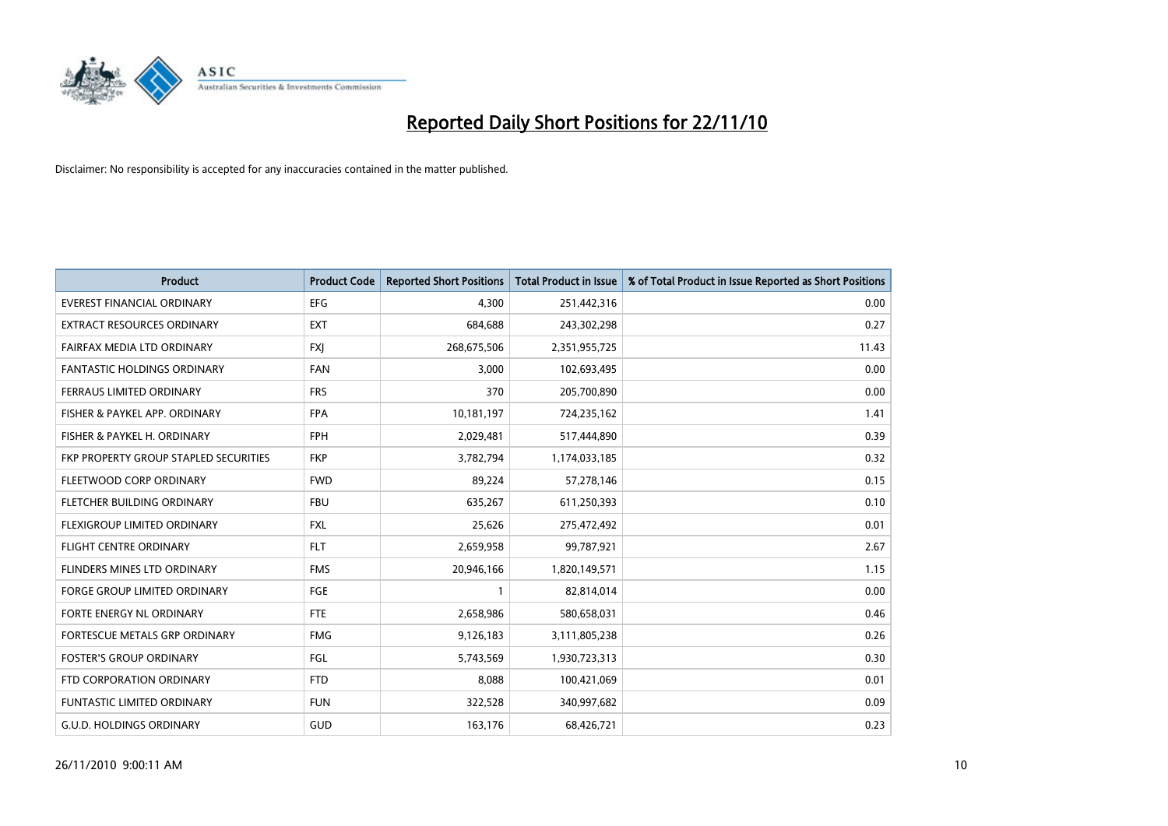

| Product                               | <b>Product Code</b> | <b>Reported Short Positions</b> | <b>Total Product in Issue</b> | % of Total Product in Issue Reported as Short Positions |
|---------------------------------------|---------------------|---------------------------------|-------------------------------|---------------------------------------------------------|
| <b>EVEREST FINANCIAL ORDINARY</b>     | <b>EFG</b>          | 4,300                           | 251,442,316                   | 0.00                                                    |
| EXTRACT RESOURCES ORDINARY            | <b>EXT</b>          | 684,688                         | 243,302,298                   | 0.27                                                    |
| FAIRFAX MEDIA LTD ORDINARY            | <b>FXI</b>          | 268,675,506                     | 2,351,955,725                 | 11.43                                                   |
| FANTASTIC HOLDINGS ORDINARY           | <b>FAN</b>          | 3,000                           | 102,693,495                   | 0.00                                                    |
| FERRAUS LIMITED ORDINARY              | <b>FRS</b>          | 370                             | 205,700,890                   | 0.00                                                    |
| FISHER & PAYKEL APP. ORDINARY         | <b>FPA</b>          | 10,181,197                      | 724,235,162                   | 1.41                                                    |
| FISHER & PAYKEL H. ORDINARY           | <b>FPH</b>          | 2,029,481                       | 517,444,890                   | 0.39                                                    |
| FKP PROPERTY GROUP STAPLED SECURITIES | <b>FKP</b>          | 3,782,794                       | 1,174,033,185                 | 0.32                                                    |
| FLEETWOOD CORP ORDINARY               | <b>FWD</b>          | 89,224                          | 57,278,146                    | 0.15                                                    |
| FLETCHER BUILDING ORDINARY            | <b>FBU</b>          | 635,267                         | 611,250,393                   | 0.10                                                    |
| FLEXIGROUP LIMITED ORDINARY           | <b>FXL</b>          | 25,626                          | 275,472,492                   | 0.01                                                    |
| <b>FLIGHT CENTRE ORDINARY</b>         | <b>FLT</b>          | 2,659,958                       | 99,787,921                    | 2.67                                                    |
| FLINDERS MINES LTD ORDINARY           | <b>FMS</b>          | 20,946,166                      | 1,820,149,571                 | 1.15                                                    |
| <b>FORGE GROUP LIMITED ORDINARY</b>   | FGE                 |                                 | 82,814,014                    | 0.00                                                    |
| FORTE ENERGY NL ORDINARY              | <b>FTE</b>          | 2,658,986                       | 580,658,031                   | 0.46                                                    |
| FORTESCUE METALS GRP ORDINARY         | <b>FMG</b>          | 9,126,183                       | 3,111,805,238                 | 0.26                                                    |
| <b>FOSTER'S GROUP ORDINARY</b>        | FGL                 | 5,743,569                       | 1,930,723,313                 | 0.30                                                    |
| FTD CORPORATION ORDINARY              | <b>FTD</b>          | 8,088                           | 100,421,069                   | 0.01                                                    |
| FUNTASTIC LIMITED ORDINARY            | <b>FUN</b>          | 322,528                         | 340,997,682                   | 0.09                                                    |
| <b>G.U.D. HOLDINGS ORDINARY</b>       | <b>GUD</b>          | 163,176                         | 68,426,721                    | 0.23                                                    |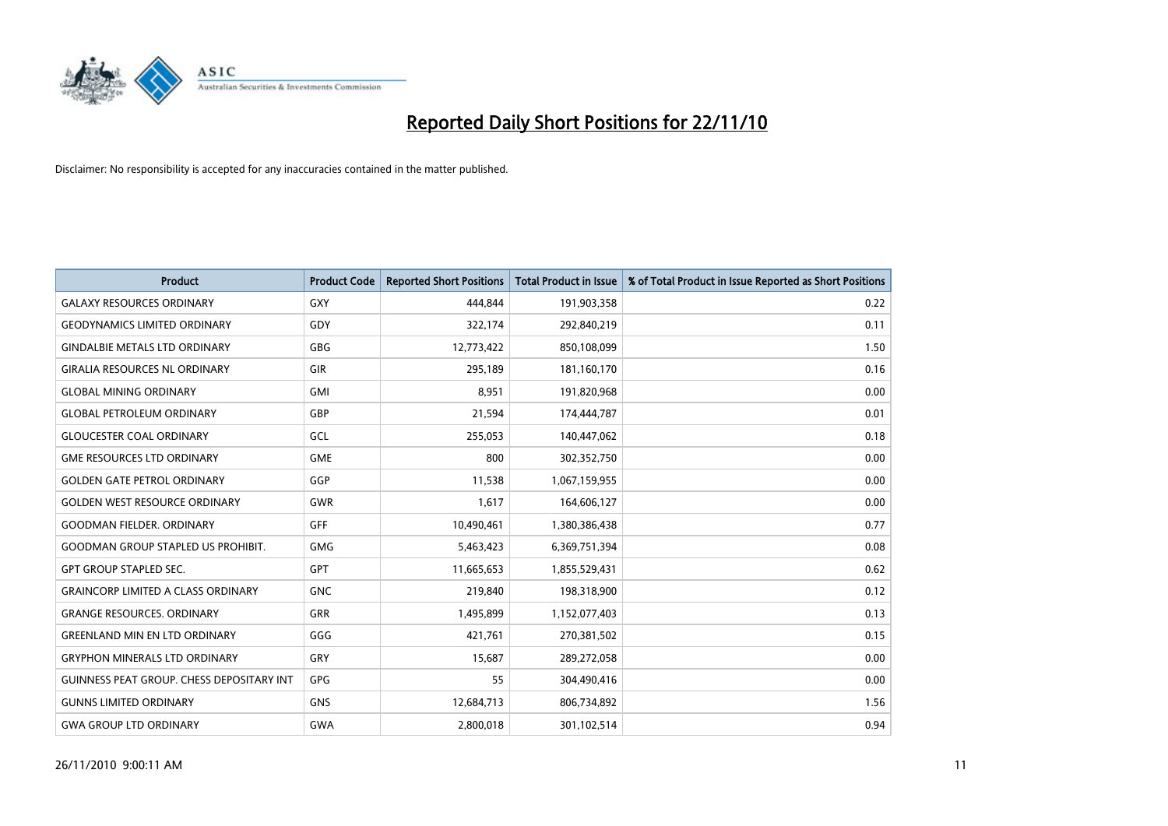

| <b>Product</b>                            | <b>Product Code</b> | <b>Reported Short Positions</b> | <b>Total Product in Issue</b> | % of Total Product in Issue Reported as Short Positions |
|-------------------------------------------|---------------------|---------------------------------|-------------------------------|---------------------------------------------------------|
| <b>GALAXY RESOURCES ORDINARY</b>          | <b>GXY</b>          | 444.844                         | 191,903,358                   | 0.22                                                    |
| <b>GEODYNAMICS LIMITED ORDINARY</b>       | GDY                 | 322,174                         | 292,840,219                   | 0.11                                                    |
| <b>GINDALBIE METALS LTD ORDINARY</b>      | GBG                 | 12,773,422                      | 850,108,099                   | 1.50                                                    |
| <b>GIRALIA RESOURCES NL ORDINARY</b>      | GIR                 | 295,189                         | 181,160,170                   | 0.16                                                    |
| <b>GLOBAL MINING ORDINARY</b>             | <b>GMI</b>          | 8,951                           | 191,820,968                   | 0.00                                                    |
| <b>GLOBAL PETROLEUM ORDINARY</b>          | GBP                 | 21,594                          | 174,444,787                   | 0.01                                                    |
| <b>GLOUCESTER COAL ORDINARY</b>           | GCL                 | 255,053                         | 140,447,062                   | 0.18                                                    |
| <b>GME RESOURCES LTD ORDINARY</b>         | <b>GME</b>          | 800                             | 302,352,750                   | 0.00                                                    |
| <b>GOLDEN GATE PETROL ORDINARY</b>        | GGP                 | 11,538                          | 1,067,159,955                 | 0.00                                                    |
| <b>GOLDEN WEST RESOURCE ORDINARY</b>      | GWR                 | 1,617                           | 164,606,127                   | 0.00                                                    |
| <b>GOODMAN FIELDER, ORDINARY</b>          | <b>GFF</b>          | 10,490,461                      | 1,380,386,438                 | 0.77                                                    |
| <b>GOODMAN GROUP STAPLED US PROHIBIT.</b> | <b>GMG</b>          | 5,463,423                       | 6,369,751,394                 | 0.08                                                    |
| <b>GPT GROUP STAPLED SEC.</b>             | <b>GPT</b>          | 11,665,653                      | 1,855,529,431                 | 0.62                                                    |
| <b>GRAINCORP LIMITED A CLASS ORDINARY</b> | <b>GNC</b>          | 219,840                         | 198,318,900                   | 0.12                                                    |
| <b>GRANGE RESOURCES, ORDINARY</b>         | <b>GRR</b>          | 1,495,899                       | 1,152,077,403                 | 0.13                                                    |
| <b>GREENLAND MIN EN LTD ORDINARY</b>      | GGG                 | 421,761                         | 270,381,502                   | 0.15                                                    |
| <b>GRYPHON MINERALS LTD ORDINARY</b>      | GRY                 | 15,687                          | 289,272,058                   | 0.00                                                    |
| GUINNESS PEAT GROUP. CHESS DEPOSITARY INT | <b>GPG</b>          | 55                              | 304,490,416                   | 0.00                                                    |
| <b>GUNNS LIMITED ORDINARY</b>             | GNS                 | 12,684,713                      | 806,734,892                   | 1.56                                                    |
| <b>GWA GROUP LTD ORDINARY</b>             | <b>GWA</b>          | 2,800,018                       | 301,102,514                   | 0.94                                                    |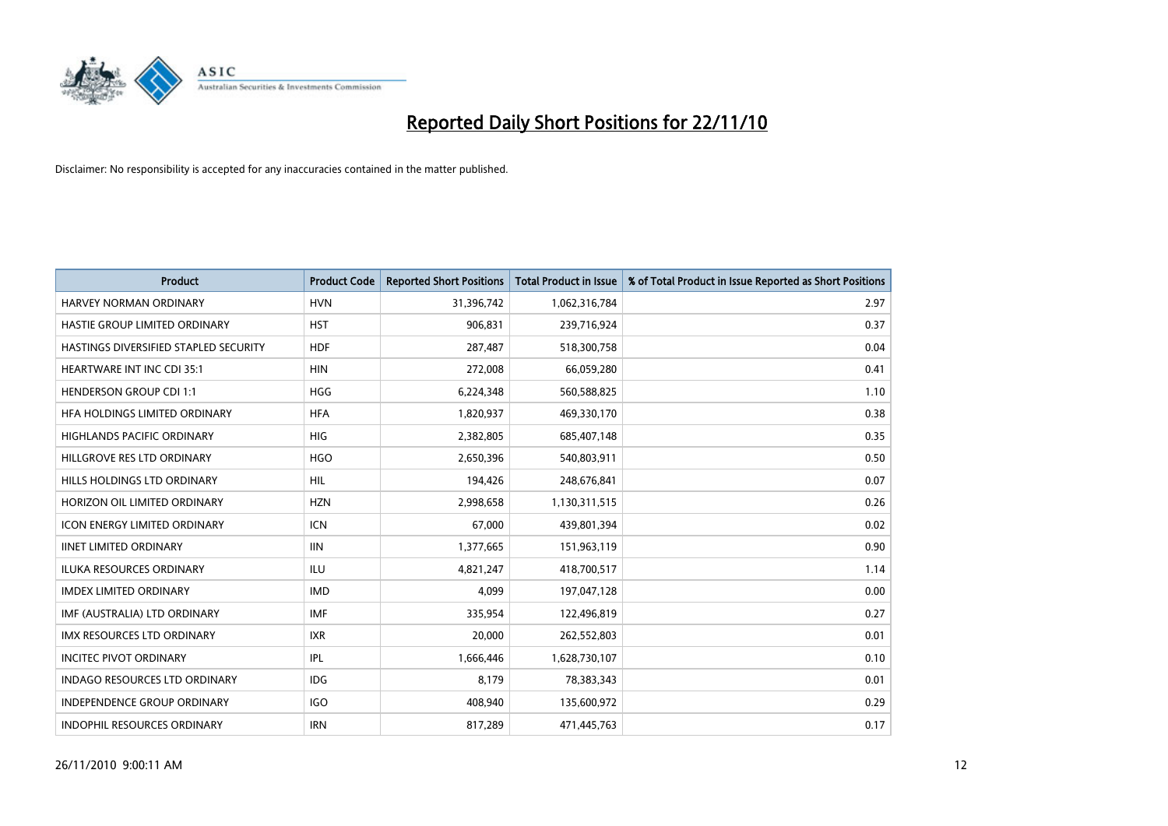

| Product                               | <b>Product Code</b> | <b>Reported Short Positions</b> | <b>Total Product in Issue</b> | % of Total Product in Issue Reported as Short Positions |
|---------------------------------------|---------------------|---------------------------------|-------------------------------|---------------------------------------------------------|
| HARVEY NORMAN ORDINARY                | <b>HVN</b>          | 31,396,742                      | 1,062,316,784                 | 2.97                                                    |
| HASTIE GROUP LIMITED ORDINARY         | <b>HST</b>          | 906,831                         | 239,716,924                   | 0.37                                                    |
| HASTINGS DIVERSIFIED STAPLED SECURITY | <b>HDF</b>          | 287,487                         | 518,300,758                   | 0.04                                                    |
| <b>HEARTWARE INT INC CDI 35:1</b>     | <b>HIN</b>          | 272,008                         | 66,059,280                    | 0.41                                                    |
| <b>HENDERSON GROUP CDI 1:1</b>        | <b>HGG</b>          | 6,224,348                       | 560,588,825                   | 1.10                                                    |
| HFA HOLDINGS LIMITED ORDINARY         | <b>HFA</b>          | 1,820,937                       | 469,330,170                   | 0.38                                                    |
| <b>HIGHLANDS PACIFIC ORDINARY</b>     | <b>HIG</b>          | 2,382,805                       | 685,407,148                   | 0.35                                                    |
| HILLGROVE RES LTD ORDINARY            | <b>HGO</b>          | 2,650,396                       | 540,803,911                   | 0.50                                                    |
| HILLS HOLDINGS LTD ORDINARY           | <b>HIL</b>          | 194,426                         | 248,676,841                   | 0.07                                                    |
| HORIZON OIL LIMITED ORDINARY          | <b>HZN</b>          | 2,998,658                       | 1,130,311,515                 | 0.26                                                    |
| <b>ICON ENERGY LIMITED ORDINARY</b>   | <b>ICN</b>          | 67,000                          | 439,801,394                   | 0.02                                                    |
| <b>IINET LIMITED ORDINARY</b>         | <b>IIN</b>          | 1,377,665                       | 151,963,119                   | 0.90                                                    |
| <b>ILUKA RESOURCES ORDINARY</b>       | ILU                 | 4,821,247                       | 418,700,517                   | 1.14                                                    |
| <b>IMDEX LIMITED ORDINARY</b>         | <b>IMD</b>          | 4,099                           | 197,047,128                   | 0.00                                                    |
| IMF (AUSTRALIA) LTD ORDINARY          | <b>IMF</b>          | 335,954                         | 122,496,819                   | 0.27                                                    |
| <b>IMX RESOURCES LTD ORDINARY</b>     | <b>IXR</b>          | 20,000                          | 262,552,803                   | 0.01                                                    |
| <b>INCITEC PIVOT ORDINARY</b>         | <b>IPL</b>          | 1,666,446                       | 1,628,730,107                 | 0.10                                                    |
| INDAGO RESOURCES LTD ORDINARY         | IDG                 | 8,179                           | 78,383,343                    | 0.01                                                    |
| <b>INDEPENDENCE GROUP ORDINARY</b>    | IGO                 | 408,940                         | 135,600,972                   | 0.29                                                    |
| INDOPHIL RESOURCES ORDINARY           | <b>IRN</b>          | 817,289                         | 471,445,763                   | 0.17                                                    |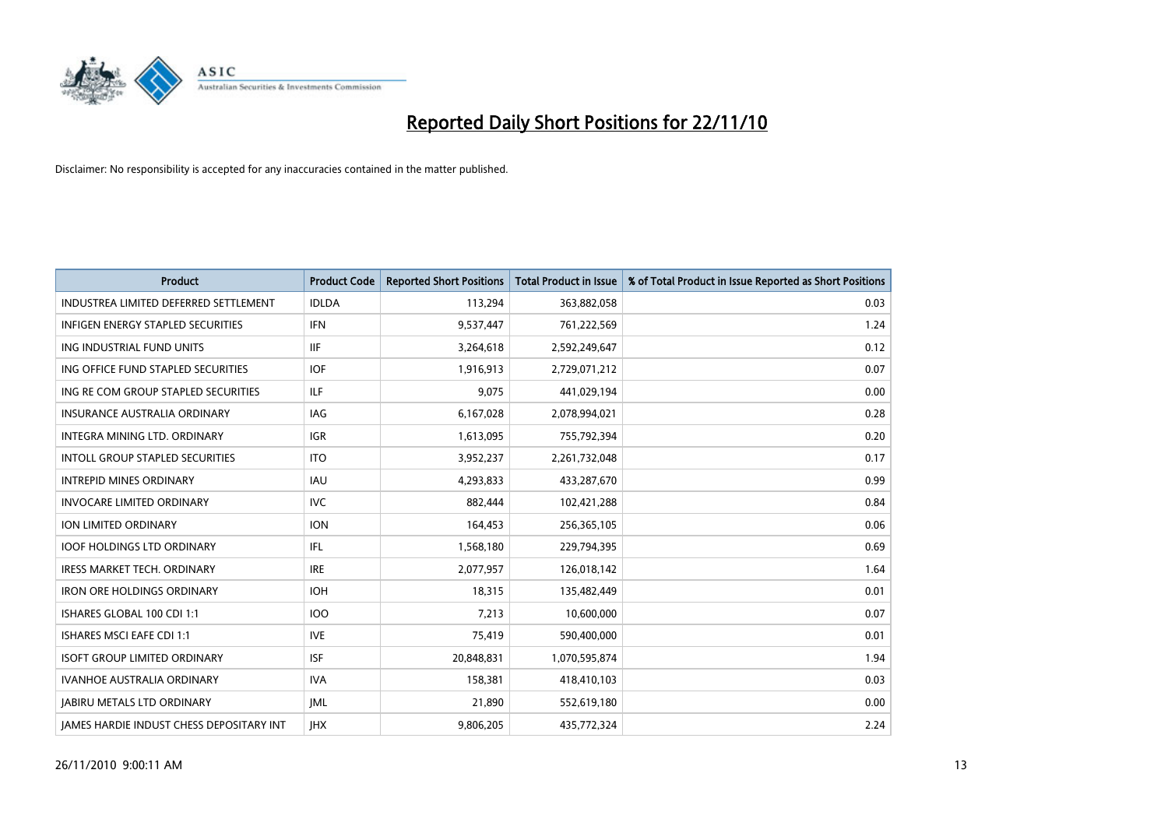

| <b>Product</b>                                  | <b>Product Code</b> | <b>Reported Short Positions</b> | <b>Total Product in Issue</b> | % of Total Product in Issue Reported as Short Positions |
|-------------------------------------------------|---------------------|---------------------------------|-------------------------------|---------------------------------------------------------|
| INDUSTREA LIMITED DEFERRED SETTLEMENT           | <b>IDLDA</b>        | 113,294                         | 363,882,058                   | 0.03                                                    |
| INFIGEN ENERGY STAPLED SECURITIES               | <b>IFN</b>          | 9,537,447                       | 761,222,569                   | 1.24                                                    |
| ING INDUSTRIAL FUND UNITS                       | <b>IIF</b>          | 3,264,618                       | 2,592,249,647                 | 0.12                                                    |
| ING OFFICE FUND STAPLED SECURITIES              | <b>IOF</b>          | 1,916,913                       | 2,729,071,212                 | 0.07                                                    |
| ING RE COM GROUP STAPLED SECURITIES             | ILF.                | 9,075                           | 441,029,194                   | 0.00                                                    |
| <b>INSURANCE AUSTRALIA ORDINARY</b>             | IAG                 | 6,167,028                       | 2,078,994,021                 | 0.28                                                    |
| <b>INTEGRA MINING LTD, ORDINARY</b>             | <b>IGR</b>          | 1,613,095                       | 755,792,394                   | 0.20                                                    |
| <b>INTOLL GROUP STAPLED SECURITIES</b>          | <b>ITO</b>          | 3,952,237                       | 2,261,732,048                 | 0.17                                                    |
| <b>INTREPID MINES ORDINARY</b>                  | <b>IAU</b>          | 4,293,833                       | 433,287,670                   | 0.99                                                    |
| <b>INVOCARE LIMITED ORDINARY</b>                | <b>IVC</b>          | 882,444                         | 102,421,288                   | 0.84                                                    |
| ION LIMITED ORDINARY                            | <b>ION</b>          | 164,453                         | 256,365,105                   | 0.06                                                    |
| <b>IOOF HOLDINGS LTD ORDINARY</b>               | IFL                 | 1,568,180                       | 229,794,395                   | 0.69                                                    |
| <b>IRESS MARKET TECH. ORDINARY</b>              | <b>IRE</b>          | 2,077,957                       | 126,018,142                   | 1.64                                                    |
| <b>IRON ORE HOLDINGS ORDINARY</b>               | <b>IOH</b>          | 18,315                          | 135,482,449                   | 0.01                                                    |
| ISHARES GLOBAL 100 CDI 1:1                      | <b>IOO</b>          | 7,213                           | 10,600,000                    | 0.07                                                    |
| ISHARES MSCI EAFE CDI 1:1                       | <b>IVE</b>          | 75,419                          | 590,400,000                   | 0.01                                                    |
| <b>ISOFT GROUP LIMITED ORDINARY</b>             | <b>ISF</b>          | 20,848,831                      | 1,070,595,874                 | 1.94                                                    |
| IVANHOE AUSTRALIA ORDINARY                      | <b>IVA</b>          | 158,381                         | 418,410,103                   | 0.03                                                    |
| <b>IABIRU METALS LTD ORDINARY</b>               | <b>JML</b>          | 21,890                          | 552,619,180                   | 0.00                                                    |
| <b>IAMES HARDIE INDUST CHESS DEPOSITARY INT</b> | <b>IHX</b>          | 9,806,205                       | 435,772,324                   | 2.24                                                    |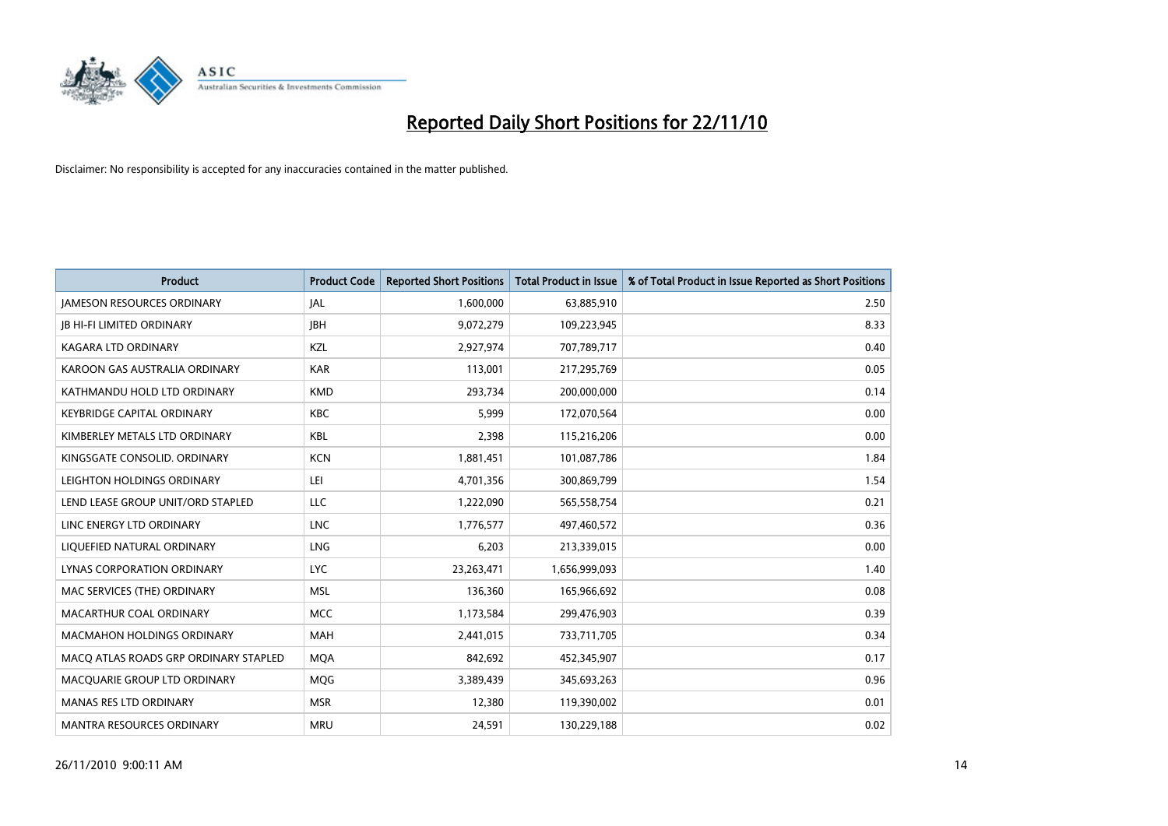

| Product                               | <b>Product Code</b> | <b>Reported Short Positions</b> | Total Product in Issue | % of Total Product in Issue Reported as Short Positions |
|---------------------------------------|---------------------|---------------------------------|------------------------|---------------------------------------------------------|
| <b>JAMESON RESOURCES ORDINARY</b>     | <b>JAL</b>          | 1,600,000                       | 63,885,910             | 2.50                                                    |
| <b>JB HI-FI LIMITED ORDINARY</b>      | <b>IBH</b>          | 9,072,279                       | 109,223,945            | 8.33                                                    |
| KAGARA LTD ORDINARY                   | KZL                 | 2,927,974                       | 707,789,717            | 0.40                                                    |
| KAROON GAS AUSTRALIA ORDINARY         | <b>KAR</b>          | 113,001                         | 217,295,769            | 0.05                                                    |
| KATHMANDU HOLD LTD ORDINARY           | <b>KMD</b>          | 293,734                         | 200,000,000            | 0.14                                                    |
| <b>KEYBRIDGE CAPITAL ORDINARY</b>     | <b>KBC</b>          | 5,999                           | 172,070,564            | 0.00                                                    |
| KIMBERLEY METALS LTD ORDINARY         | <b>KBL</b>          | 2,398                           | 115,216,206            | 0.00                                                    |
| KINGSGATE CONSOLID. ORDINARY          | <b>KCN</b>          | 1,881,451                       | 101,087,786            | 1.84                                                    |
| LEIGHTON HOLDINGS ORDINARY            | LEI                 | 4,701,356                       | 300,869,799            | 1.54                                                    |
| LEND LEASE GROUP UNIT/ORD STAPLED     | <b>LLC</b>          | 1,222,090                       | 565,558,754            | 0.21                                                    |
| LINC ENERGY LTD ORDINARY              | <b>LNC</b>          | 1,776,577                       | 497,460,572            | 0.36                                                    |
| LIQUEFIED NATURAL ORDINARY            | LNG                 | 6,203                           | 213,339,015            | 0.00                                                    |
| LYNAS CORPORATION ORDINARY            | <b>LYC</b>          | 23,263,471                      | 1,656,999,093          | 1.40                                                    |
| MAC SERVICES (THE) ORDINARY           | <b>MSL</b>          | 136,360                         | 165,966,692            | 0.08                                                    |
| MACARTHUR COAL ORDINARY               | <b>MCC</b>          | 1,173,584                       | 299,476,903            | 0.39                                                    |
| <b>MACMAHON HOLDINGS ORDINARY</b>     | <b>MAH</b>          | 2,441,015                       | 733,711,705            | 0.34                                                    |
| MACQ ATLAS ROADS GRP ORDINARY STAPLED | <b>MQA</b>          | 842,692                         | 452,345,907            | 0.17                                                    |
| MACQUARIE GROUP LTD ORDINARY          | <b>MQG</b>          | 3,389,439                       | 345,693,263            | 0.96                                                    |
| <b>MANAS RES LTD ORDINARY</b>         | <b>MSR</b>          | 12,380                          | 119,390,002            | 0.01                                                    |
| MANTRA RESOURCES ORDINARY             | <b>MRU</b>          | 24,591                          | 130,229,188            | 0.02                                                    |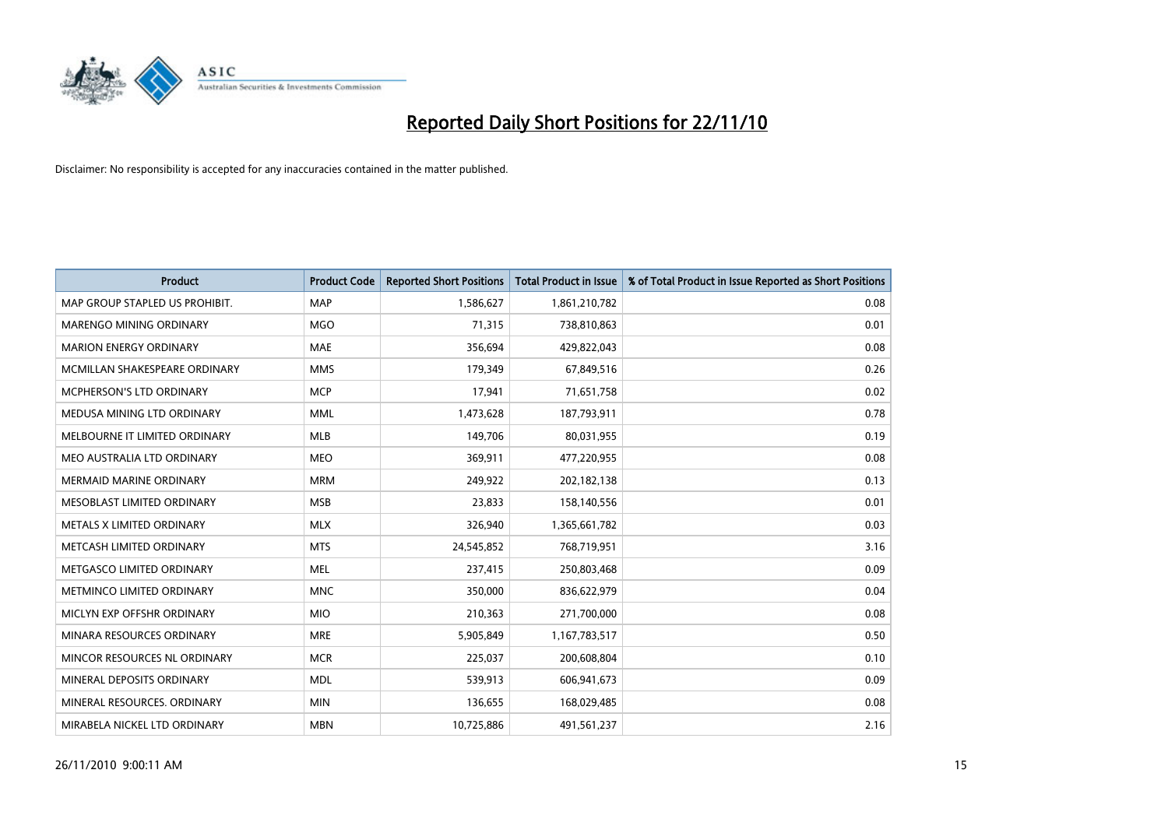

| Product                          | <b>Product Code</b> | <b>Reported Short Positions</b> | <b>Total Product in Issue</b> | % of Total Product in Issue Reported as Short Positions |
|----------------------------------|---------------------|---------------------------------|-------------------------------|---------------------------------------------------------|
| MAP GROUP STAPLED US PROHIBIT.   | <b>MAP</b>          | 1,586,627                       | 1,861,210,782                 | 0.08                                                    |
| <b>MARENGO MINING ORDINARY</b>   | <b>MGO</b>          | 71,315                          | 738,810,863                   | 0.01                                                    |
| <b>MARION ENERGY ORDINARY</b>    | <b>MAE</b>          | 356,694                         | 429,822,043                   | 0.08                                                    |
| MCMILLAN SHAKESPEARE ORDINARY    | <b>MMS</b>          | 179,349                         | 67,849,516                    | 0.26                                                    |
| <b>MCPHERSON'S LTD ORDINARY</b>  | <b>MCP</b>          | 17,941                          | 71,651,758                    | 0.02                                                    |
| MEDUSA MINING LTD ORDINARY       | <b>MML</b>          | 1,473,628                       | 187,793,911                   | 0.78                                                    |
| MELBOURNE IT LIMITED ORDINARY    | <b>MLB</b>          | 149,706                         | 80,031,955                    | 0.19                                                    |
| MEO AUSTRALIA LTD ORDINARY       | <b>MEO</b>          | 369,911                         | 477,220,955                   | 0.08                                                    |
| MERMAID MARINE ORDINARY          | <b>MRM</b>          | 249,922                         | 202,182,138                   | 0.13                                                    |
| MESOBLAST LIMITED ORDINARY       | <b>MSB</b>          | 23,833                          | 158,140,556                   | 0.01                                                    |
| METALS X LIMITED ORDINARY        | <b>MLX</b>          | 326,940                         | 1,365,661,782                 | 0.03                                                    |
| METCASH LIMITED ORDINARY         | <b>MTS</b>          | 24,545,852                      | 768,719,951                   | 3.16                                                    |
| METGASCO LIMITED ORDINARY        | <b>MEL</b>          | 237,415                         | 250,803,468                   | 0.09                                                    |
| <b>METMINCO LIMITED ORDINARY</b> | <b>MNC</b>          | 350,000                         | 836,622,979                   | 0.04                                                    |
| MICLYN EXP OFFSHR ORDINARY       | <b>MIO</b>          | 210,363                         | 271,700,000                   | 0.08                                                    |
| MINARA RESOURCES ORDINARY        | <b>MRE</b>          | 5,905,849                       | 1,167,783,517                 | 0.50                                                    |
| MINCOR RESOURCES NL ORDINARY     | <b>MCR</b>          | 225,037                         | 200,608,804                   | 0.10                                                    |
| MINERAL DEPOSITS ORDINARY        | <b>MDL</b>          | 539,913                         | 606,941,673                   | 0.09                                                    |
| MINERAL RESOURCES, ORDINARY      | <b>MIN</b>          | 136,655                         | 168,029,485                   | 0.08                                                    |
| MIRABELA NICKEL LTD ORDINARY     | <b>MBN</b>          | 10,725,886                      | 491,561,237                   | 2.16                                                    |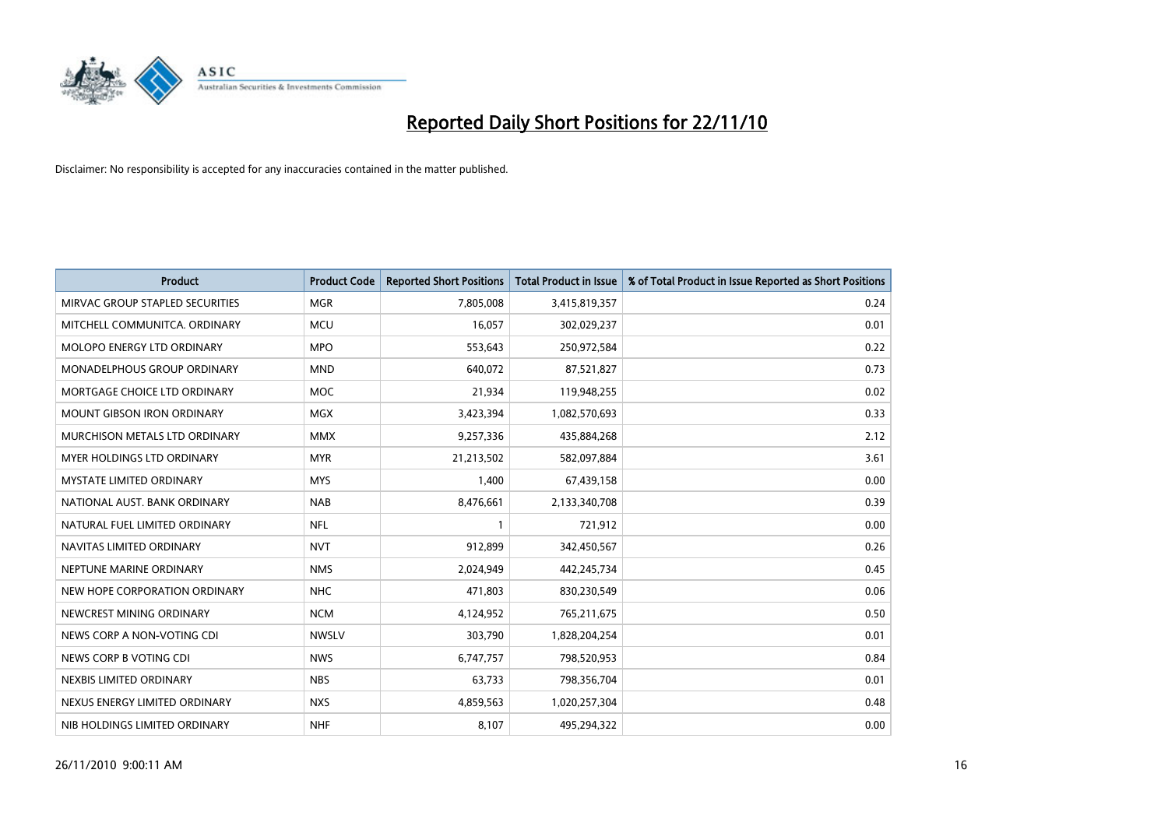

| Product                           | <b>Product Code</b> | <b>Reported Short Positions</b> | <b>Total Product in Issue</b> | % of Total Product in Issue Reported as Short Positions |
|-----------------------------------|---------------------|---------------------------------|-------------------------------|---------------------------------------------------------|
| MIRVAC GROUP STAPLED SECURITIES   | <b>MGR</b>          | 7,805,008                       | 3,415,819,357                 | 0.24                                                    |
| MITCHELL COMMUNITCA, ORDINARY     | <b>MCU</b>          | 16,057                          | 302,029,237                   | 0.01                                                    |
| MOLOPO ENERGY LTD ORDINARY        | <b>MPO</b>          | 553,643                         | 250,972,584                   | 0.22                                                    |
| MONADELPHOUS GROUP ORDINARY       | <b>MND</b>          | 640,072                         | 87,521,827                    | 0.73                                                    |
| MORTGAGE CHOICE LTD ORDINARY      | <b>MOC</b>          | 21,934                          | 119,948,255                   | 0.02                                                    |
| <b>MOUNT GIBSON IRON ORDINARY</b> | <b>MGX</b>          | 3,423,394                       | 1,082,570,693                 | 0.33                                                    |
| MURCHISON METALS LTD ORDINARY     | <b>MMX</b>          | 9,257,336                       | 435,884,268                   | 2.12                                                    |
| <b>MYER HOLDINGS LTD ORDINARY</b> | <b>MYR</b>          | 21,213,502                      | 582,097,884                   | 3.61                                                    |
| <b>MYSTATE LIMITED ORDINARY</b>   | <b>MYS</b>          | 1,400                           | 67,439,158                    | 0.00                                                    |
| NATIONAL AUST, BANK ORDINARY      | <b>NAB</b>          | 8,476,661                       | 2,133,340,708                 | 0.39                                                    |
| NATURAL FUEL LIMITED ORDINARY     | <b>NFL</b>          |                                 | 721,912                       | 0.00                                                    |
| NAVITAS LIMITED ORDINARY          | <b>NVT</b>          | 912,899                         | 342,450,567                   | 0.26                                                    |
| NEPTUNE MARINE ORDINARY           | <b>NMS</b>          | 2,024,949                       | 442,245,734                   | 0.45                                                    |
| NEW HOPE CORPORATION ORDINARY     | <b>NHC</b>          | 471,803                         | 830,230,549                   | 0.06                                                    |
| NEWCREST MINING ORDINARY          | <b>NCM</b>          | 4,124,952                       | 765,211,675                   | 0.50                                                    |
| NEWS CORP A NON-VOTING CDI        | <b>NWSLV</b>        | 303,790                         | 1,828,204,254                 | 0.01                                                    |
| NEWS CORP B VOTING CDI            | <b>NWS</b>          | 6,747,757                       | 798,520,953                   | 0.84                                                    |
| NEXBIS LIMITED ORDINARY           | <b>NBS</b>          | 63,733                          | 798,356,704                   | 0.01                                                    |
| NEXUS ENERGY LIMITED ORDINARY     | <b>NXS</b>          | 4,859,563                       | 1,020,257,304                 | 0.48                                                    |
| NIB HOLDINGS LIMITED ORDINARY     | <b>NHF</b>          | 8,107                           | 495,294,322                   | 0.00                                                    |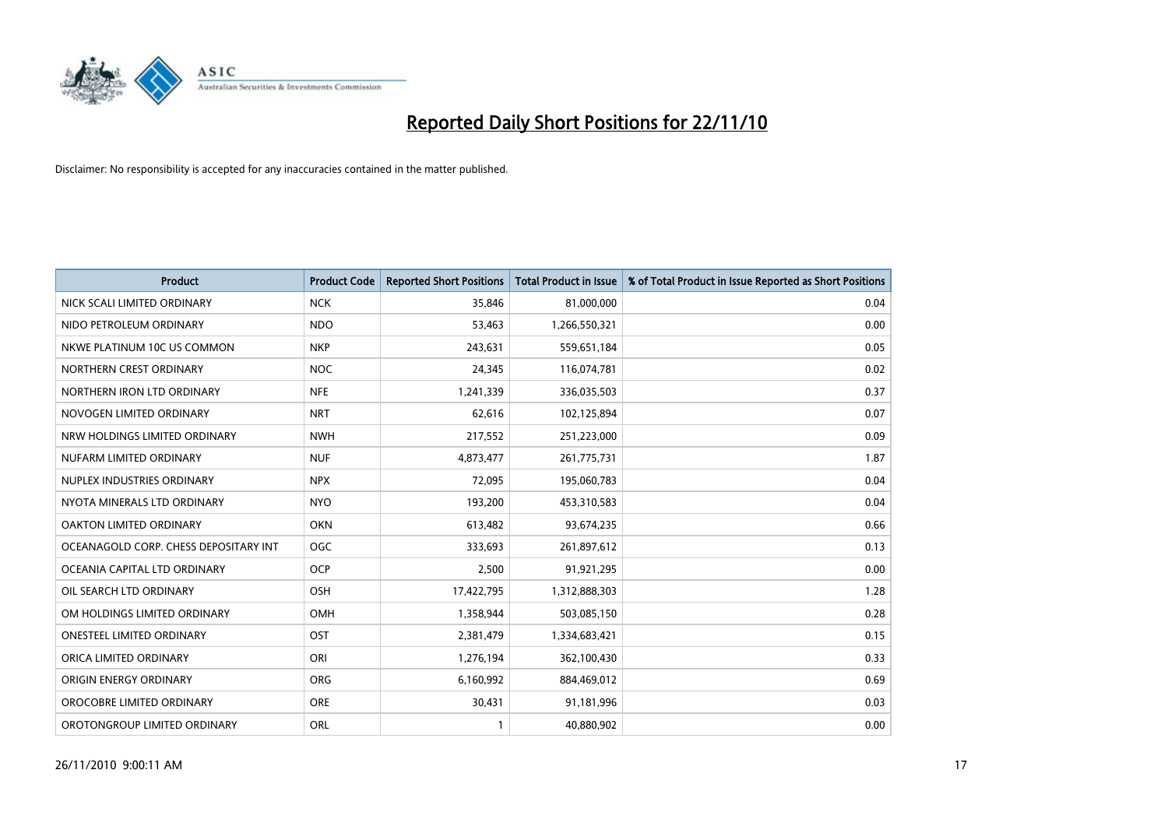

| <b>Product</b>                        | <b>Product Code</b> | <b>Reported Short Positions</b> | Total Product in Issue | % of Total Product in Issue Reported as Short Positions |
|---------------------------------------|---------------------|---------------------------------|------------------------|---------------------------------------------------------|
| NICK SCALI LIMITED ORDINARY           | <b>NCK</b>          | 35,846                          | 81,000,000             | 0.04                                                    |
| NIDO PETROLEUM ORDINARY               | <b>NDO</b>          | 53,463                          | 1,266,550,321          | 0.00                                                    |
| NKWE PLATINUM 10C US COMMON           | <b>NKP</b>          | 243,631                         | 559,651,184            | 0.05                                                    |
| NORTHERN CREST ORDINARY               | <b>NOC</b>          | 24,345                          | 116,074,781            | 0.02                                                    |
| NORTHERN IRON LTD ORDINARY            | <b>NFE</b>          | 1,241,339                       | 336,035,503            | 0.37                                                    |
| NOVOGEN LIMITED ORDINARY              | <b>NRT</b>          | 62,616                          | 102,125,894            | 0.07                                                    |
| NRW HOLDINGS LIMITED ORDINARY         | <b>NWH</b>          | 217,552                         | 251,223,000            | 0.09                                                    |
| NUFARM LIMITED ORDINARY               | <b>NUF</b>          | 4,873,477                       | 261,775,731            | 1.87                                                    |
| NUPLEX INDUSTRIES ORDINARY            | <b>NPX</b>          | 72,095                          | 195,060,783            | 0.04                                                    |
| NYOTA MINERALS LTD ORDINARY           | <b>NYO</b>          | 193,200                         | 453,310,583            | 0.04                                                    |
| OAKTON LIMITED ORDINARY               | <b>OKN</b>          | 613,482                         | 93,674,235             | 0.66                                                    |
| OCEANAGOLD CORP. CHESS DEPOSITARY INT | <b>OGC</b>          | 333,693                         | 261,897,612            | 0.13                                                    |
| OCEANIA CAPITAL LTD ORDINARY          | <b>OCP</b>          | 2,500                           | 91,921,295             | 0.00                                                    |
| OIL SEARCH LTD ORDINARY               | OSH                 | 17,422,795                      | 1,312,888,303          | 1.28                                                    |
| OM HOLDINGS LIMITED ORDINARY          | OMH                 | 1,358,944                       | 503,085,150            | 0.28                                                    |
| ONESTEEL LIMITED ORDINARY             | OST                 | 2,381,479                       | 1,334,683,421          | 0.15                                                    |
| ORICA LIMITED ORDINARY                | ORI                 | 1,276,194                       | 362,100,430            | 0.33                                                    |
| ORIGIN ENERGY ORDINARY                | <b>ORG</b>          | 6,160,992                       | 884,469,012            | 0.69                                                    |
| OROCOBRE LIMITED ORDINARY             | <b>ORE</b>          | 30,431                          | 91,181,996             | 0.03                                                    |
| OROTONGROUP LIMITED ORDINARY          | <b>ORL</b>          |                                 | 40,880,902             | 0.00                                                    |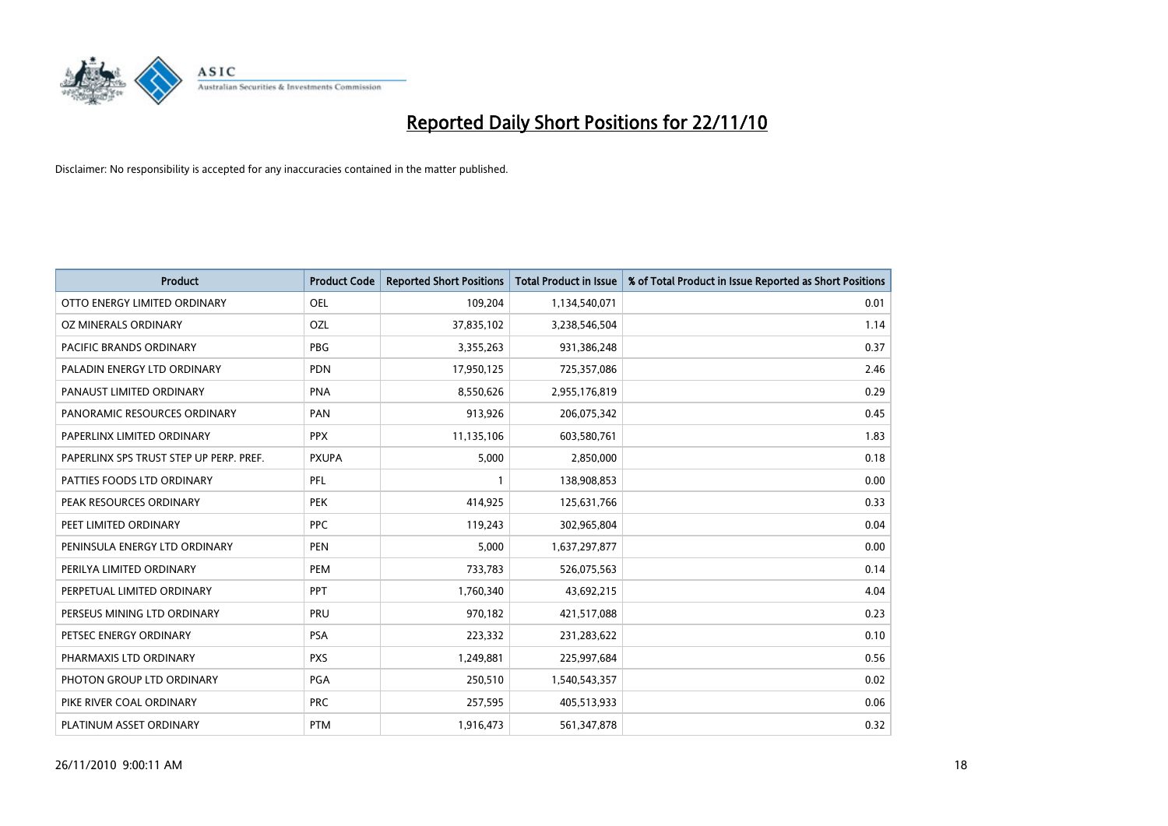

| Product                                 | <b>Product Code</b> | <b>Reported Short Positions</b> | <b>Total Product in Issue</b> | % of Total Product in Issue Reported as Short Positions |
|-----------------------------------------|---------------------|---------------------------------|-------------------------------|---------------------------------------------------------|
| OTTO ENERGY LIMITED ORDINARY            | <b>OEL</b>          | 109,204                         | 1,134,540,071                 | 0.01                                                    |
| OZ MINERALS ORDINARY                    | OZL                 | 37,835,102                      | 3,238,546,504                 | 1.14                                                    |
| PACIFIC BRANDS ORDINARY                 | <b>PBG</b>          | 3,355,263                       | 931,386,248                   | 0.37                                                    |
| PALADIN ENERGY LTD ORDINARY             | <b>PDN</b>          | 17,950,125                      | 725,357,086                   | 2.46                                                    |
| PANAUST LIMITED ORDINARY                | <b>PNA</b>          | 8,550,626                       | 2,955,176,819                 | 0.29                                                    |
| PANORAMIC RESOURCES ORDINARY            | PAN                 | 913,926                         | 206,075,342                   | 0.45                                                    |
| PAPERLINX LIMITED ORDINARY              | <b>PPX</b>          | 11,135,106                      | 603,580,761                   | 1.83                                                    |
| PAPERLINX SPS TRUST STEP UP PERP. PREF. | <b>PXUPA</b>        | 5,000                           | 2,850,000                     | 0.18                                                    |
| PATTIES FOODS LTD ORDINARY              | PFL                 |                                 | 138,908,853                   | 0.00                                                    |
| PEAK RESOURCES ORDINARY                 | <b>PEK</b>          | 414,925                         | 125,631,766                   | 0.33                                                    |
| PEET LIMITED ORDINARY                   | <b>PPC</b>          | 119,243                         | 302,965,804                   | 0.04                                                    |
| PENINSULA ENERGY LTD ORDINARY           | <b>PEN</b>          | 5,000                           | 1,637,297,877                 | 0.00                                                    |
| PERILYA LIMITED ORDINARY                | PEM                 | 733,783                         | 526,075,563                   | 0.14                                                    |
| PERPETUAL LIMITED ORDINARY              | PPT                 | 1,760,340                       | 43,692,215                    | 4.04                                                    |
| PERSEUS MINING LTD ORDINARY             | PRU                 | 970,182                         | 421,517,088                   | 0.23                                                    |
| PETSEC ENERGY ORDINARY                  | <b>PSA</b>          | 223,332                         | 231,283,622                   | 0.10                                                    |
| PHARMAXIS LTD ORDINARY                  | <b>PXS</b>          | 1,249,881                       | 225,997,684                   | 0.56                                                    |
| PHOTON GROUP LTD ORDINARY               | PGA                 | 250,510                         | 1,540,543,357                 | 0.02                                                    |
| PIKE RIVER COAL ORDINARY                | <b>PRC</b>          | 257,595                         | 405,513,933                   | 0.06                                                    |
| PLATINUM ASSET ORDINARY                 | <b>PTM</b>          | 1,916,473                       | 561,347,878                   | 0.32                                                    |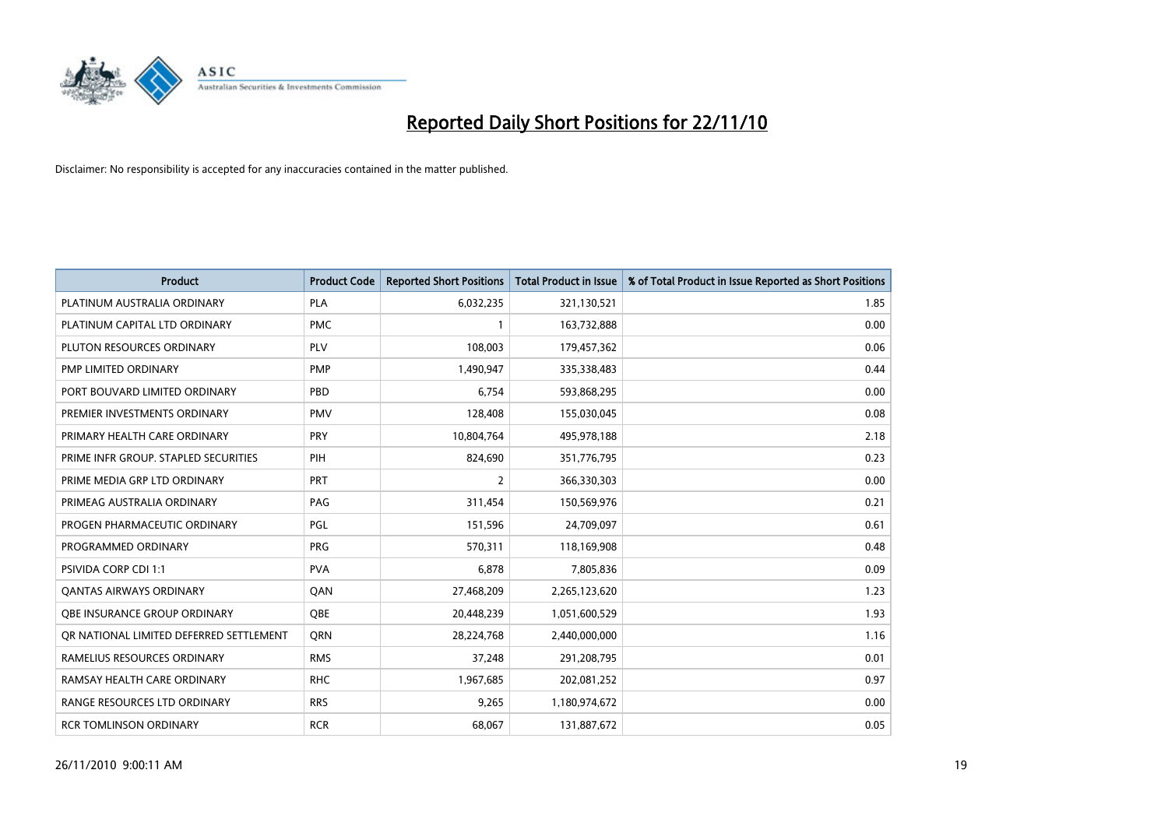

| Product                                 | <b>Product Code</b> | <b>Reported Short Positions</b> | <b>Total Product in Issue</b> | % of Total Product in Issue Reported as Short Positions |
|-----------------------------------------|---------------------|---------------------------------|-------------------------------|---------------------------------------------------------|
| PLATINUM AUSTRALIA ORDINARY             | <b>PLA</b>          | 6,032,235                       | 321,130,521                   | 1.85                                                    |
| PLATINUM CAPITAL LTD ORDINARY           | <b>PMC</b>          |                                 | 163,732,888                   | 0.00                                                    |
| PLUTON RESOURCES ORDINARY               | <b>PLV</b>          | 108,003                         | 179,457,362                   | 0.06                                                    |
| PMP LIMITED ORDINARY                    | <b>PMP</b>          | 1,490,947                       | 335,338,483                   | 0.44                                                    |
| PORT BOUVARD LIMITED ORDINARY           | PBD                 | 6,754                           | 593,868,295                   | 0.00                                                    |
| PREMIER INVESTMENTS ORDINARY            | <b>PMV</b>          | 128,408                         | 155,030,045                   | 0.08                                                    |
| PRIMARY HEALTH CARE ORDINARY            | PRY                 | 10,804,764                      | 495,978,188                   | 2.18                                                    |
| PRIME INFR GROUP. STAPLED SECURITIES    | PIH                 | 824,690                         | 351,776,795                   | 0.23                                                    |
| PRIME MEDIA GRP LTD ORDINARY            | PRT                 | 2                               | 366,330,303                   | 0.00                                                    |
| PRIMEAG AUSTRALIA ORDINARY              | PAG                 | 311,454                         | 150,569,976                   | 0.21                                                    |
| PROGEN PHARMACEUTIC ORDINARY            | PGL                 | 151,596                         | 24,709,097                    | 0.61                                                    |
| PROGRAMMED ORDINARY                     | <b>PRG</b>          | 570,311                         | 118,169,908                   | 0.48                                                    |
| PSIVIDA CORP CDI 1:1                    | <b>PVA</b>          | 6,878                           | 7,805,836                     | 0.09                                                    |
| OANTAS AIRWAYS ORDINARY                 | QAN                 | 27,468,209                      | 2,265,123,620                 | 1.23                                                    |
| OBE INSURANCE GROUP ORDINARY            | <b>OBE</b>          | 20,448,239                      | 1,051,600,529                 | 1.93                                                    |
| OR NATIONAL LIMITED DEFERRED SETTLEMENT | <b>ORN</b>          | 28,224,768                      | 2,440,000,000                 | 1.16                                                    |
| RAMELIUS RESOURCES ORDINARY             | <b>RMS</b>          | 37,248                          | 291,208,795                   | 0.01                                                    |
| RAMSAY HEALTH CARE ORDINARY             | <b>RHC</b>          | 1,967,685                       | 202,081,252                   | 0.97                                                    |
| RANGE RESOURCES LTD ORDINARY            | <b>RRS</b>          | 9,265                           | 1,180,974,672                 | 0.00                                                    |
| <b>RCR TOMLINSON ORDINARY</b>           | <b>RCR</b>          | 68,067                          | 131,887,672                   | 0.05                                                    |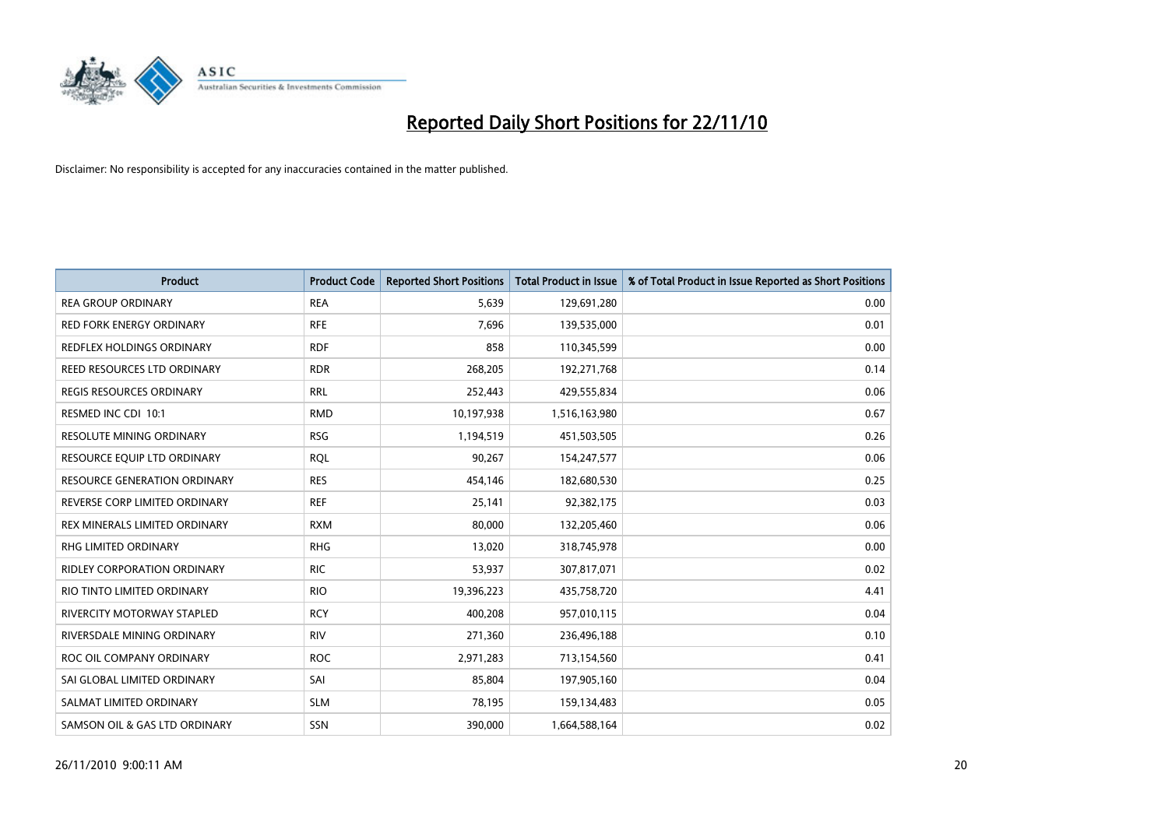

| <b>Product</b>                     | <b>Product Code</b> | <b>Reported Short Positions</b> | Total Product in Issue | % of Total Product in Issue Reported as Short Positions |
|------------------------------------|---------------------|---------------------------------|------------------------|---------------------------------------------------------|
| <b>REA GROUP ORDINARY</b>          | <b>REA</b>          | 5,639                           | 129,691,280            | 0.00                                                    |
| RED FORK ENERGY ORDINARY           | <b>RFE</b>          | 7,696                           | 139,535,000            | 0.01                                                    |
| REDFLEX HOLDINGS ORDINARY          | <b>RDF</b>          | 858                             | 110,345,599            | 0.00                                                    |
| REED RESOURCES LTD ORDINARY        | <b>RDR</b>          | 268,205                         | 192,271,768            | 0.14                                                    |
| <b>REGIS RESOURCES ORDINARY</b>    | <b>RRL</b>          | 252,443                         | 429,555,834            | 0.06                                                    |
| RESMED INC CDI 10:1                | <b>RMD</b>          | 10,197,938                      | 1,516,163,980          | 0.67                                                    |
| <b>RESOLUTE MINING ORDINARY</b>    | <b>RSG</b>          | 1,194,519                       | 451,503,505            | 0.26                                                    |
| RESOURCE EQUIP LTD ORDINARY        | <b>RQL</b>          | 90,267                          | 154,247,577            | 0.06                                                    |
| RESOURCE GENERATION ORDINARY       | <b>RES</b>          | 454,146                         | 182,680,530            | 0.25                                                    |
| REVERSE CORP LIMITED ORDINARY      | <b>REF</b>          | 25,141                          | 92,382,175             | 0.03                                                    |
| REX MINERALS LIMITED ORDINARY      | <b>RXM</b>          | 80,000                          | 132,205,460            | 0.06                                                    |
| RHG LIMITED ORDINARY               | <b>RHG</b>          | 13,020                          | 318,745,978            | 0.00                                                    |
| <b>RIDLEY CORPORATION ORDINARY</b> | <b>RIC</b>          | 53,937                          | 307,817,071            | 0.02                                                    |
| RIO TINTO LIMITED ORDINARY         | <b>RIO</b>          | 19,396,223                      | 435,758,720            | 4.41                                                    |
| <b>RIVERCITY MOTORWAY STAPLED</b>  | <b>RCY</b>          | 400,208                         | 957,010,115            | 0.04                                                    |
| RIVERSDALE MINING ORDINARY         | <b>RIV</b>          | 271,360                         | 236,496,188            | 0.10                                                    |
| ROC OIL COMPANY ORDINARY           | <b>ROC</b>          | 2,971,283                       | 713,154,560            | 0.41                                                    |
| SAI GLOBAL LIMITED ORDINARY        | SAI                 | 85,804                          | 197,905,160            | 0.04                                                    |
| SALMAT LIMITED ORDINARY            | <b>SLM</b>          | 78,195                          | 159,134,483            | 0.05                                                    |
| SAMSON OIL & GAS LTD ORDINARY      | SSN                 | 390,000                         | 1,664,588,164          | 0.02                                                    |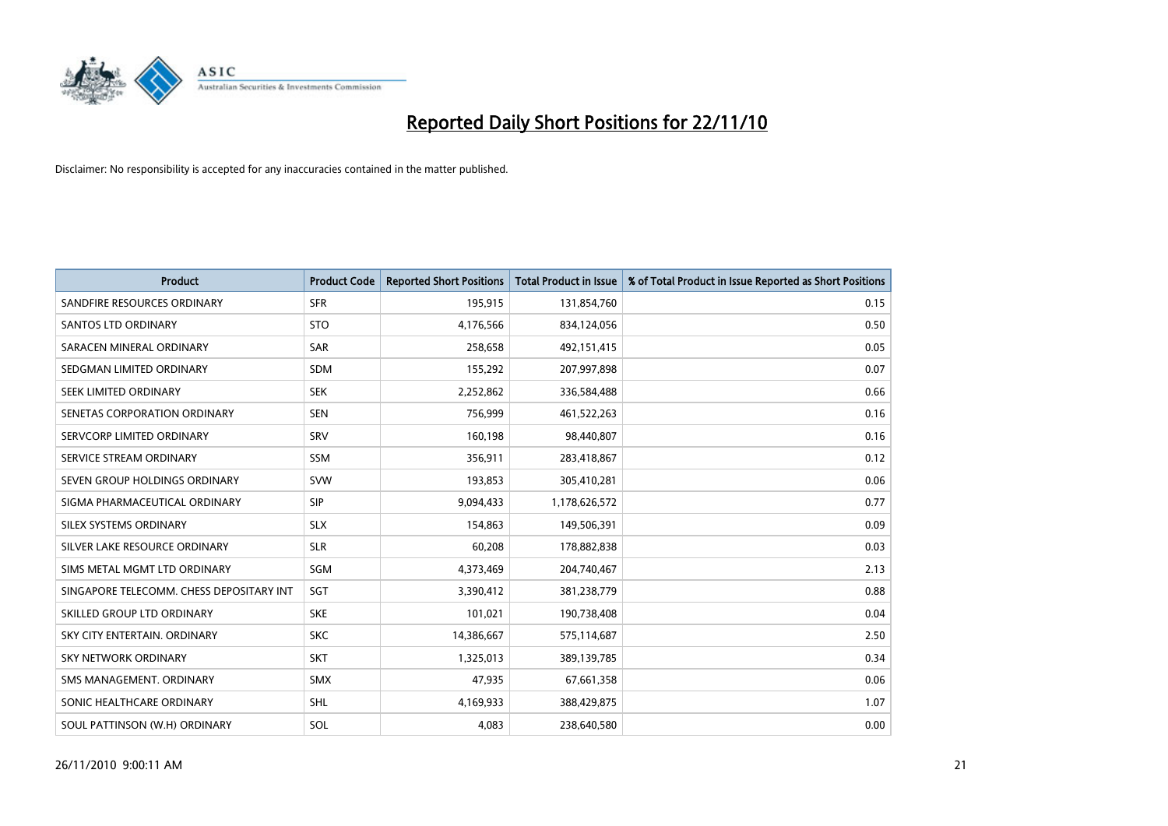

| Product                                  | <b>Product Code</b> | <b>Reported Short Positions</b> | <b>Total Product in Issue</b> | % of Total Product in Issue Reported as Short Positions |
|------------------------------------------|---------------------|---------------------------------|-------------------------------|---------------------------------------------------------|
| SANDFIRE RESOURCES ORDINARY              | <b>SFR</b>          | 195,915                         | 131,854,760                   | 0.15                                                    |
| <b>SANTOS LTD ORDINARY</b>               | <b>STO</b>          | 4,176,566                       | 834,124,056                   | 0.50                                                    |
| SARACEN MINERAL ORDINARY                 | <b>SAR</b>          | 258,658                         | 492,151,415                   | 0.05                                                    |
| SEDGMAN LIMITED ORDINARY                 | <b>SDM</b>          | 155,292                         | 207,997,898                   | 0.07                                                    |
| SEEK LIMITED ORDINARY                    | <b>SEK</b>          | 2,252,862                       | 336,584,488                   | 0.66                                                    |
| SENETAS CORPORATION ORDINARY             | <b>SEN</b>          | 756,999                         | 461,522,263                   | 0.16                                                    |
| SERVCORP LIMITED ORDINARY                | SRV                 | 160,198                         | 98,440,807                    | 0.16                                                    |
| SERVICE STREAM ORDINARY                  | <b>SSM</b>          | 356,911                         | 283,418,867                   | 0.12                                                    |
| SEVEN GROUP HOLDINGS ORDINARY            | <b>SVW</b>          | 193,853                         | 305,410,281                   | 0.06                                                    |
| SIGMA PHARMACEUTICAL ORDINARY            | <b>SIP</b>          | 9,094,433                       | 1,178,626,572                 | 0.77                                                    |
| SILEX SYSTEMS ORDINARY                   | <b>SLX</b>          | 154,863                         | 149,506,391                   | 0.09                                                    |
| SILVER LAKE RESOURCE ORDINARY            | <b>SLR</b>          | 60,208                          | 178,882,838                   | 0.03                                                    |
| SIMS METAL MGMT LTD ORDINARY             | <b>SGM</b>          | 4,373,469                       | 204,740,467                   | 2.13                                                    |
| SINGAPORE TELECOMM. CHESS DEPOSITARY INT | <b>SGT</b>          | 3,390,412                       | 381,238,779                   | 0.88                                                    |
| SKILLED GROUP LTD ORDINARY               | <b>SKE</b>          | 101,021                         | 190,738,408                   | 0.04                                                    |
| SKY CITY ENTERTAIN, ORDINARY             | <b>SKC</b>          | 14,386,667                      | 575,114,687                   | 2.50                                                    |
| <b>SKY NETWORK ORDINARY</b>              | <b>SKT</b>          | 1,325,013                       | 389,139,785                   | 0.34                                                    |
| SMS MANAGEMENT. ORDINARY                 | <b>SMX</b>          | 47,935                          | 67,661,358                    | 0.06                                                    |
| SONIC HEALTHCARE ORDINARY                | <b>SHL</b>          | 4,169,933                       | 388,429,875                   | 1.07                                                    |
| SOUL PATTINSON (W.H) ORDINARY            | SOL                 | 4,083                           | 238,640,580                   | 0.00                                                    |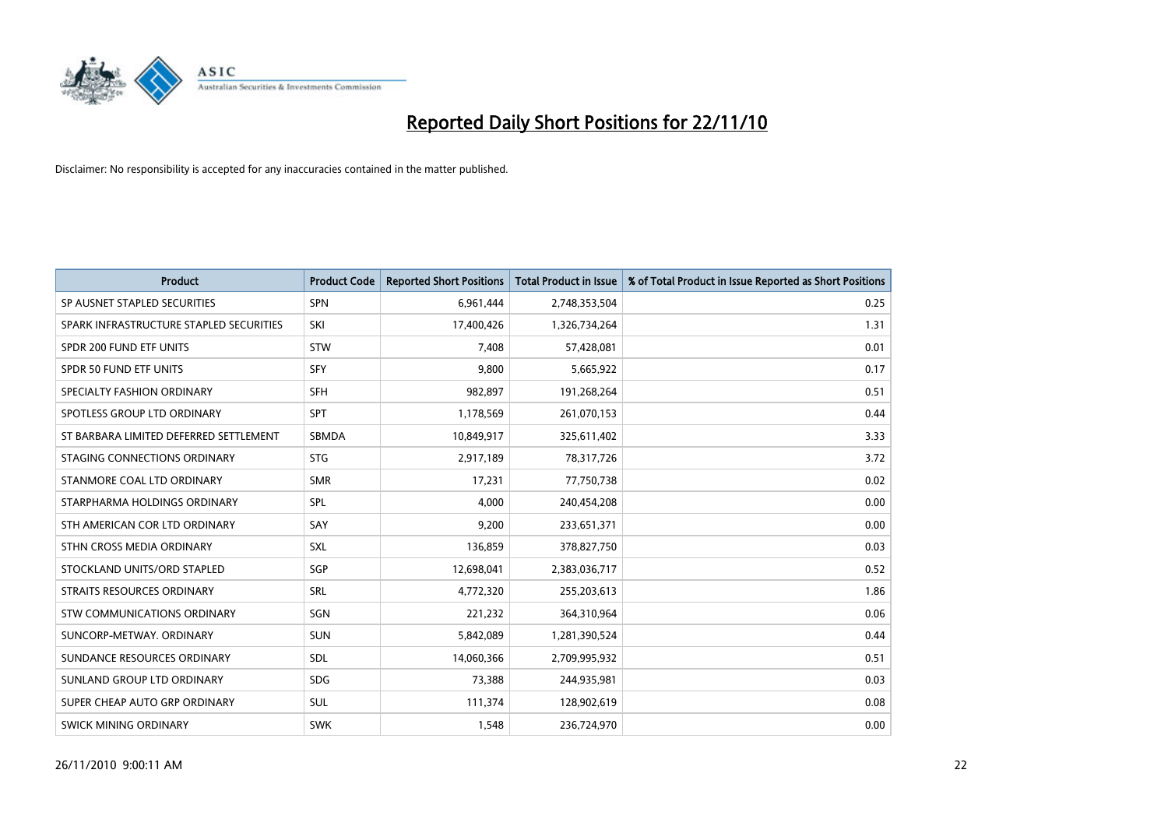

| <b>Product</b>                          | <b>Product Code</b> | <b>Reported Short Positions</b> | <b>Total Product in Issue</b> | % of Total Product in Issue Reported as Short Positions |
|-----------------------------------------|---------------------|---------------------------------|-------------------------------|---------------------------------------------------------|
| SP AUSNET STAPLED SECURITIES            | <b>SPN</b>          | 6,961,444                       | 2,748,353,504                 | 0.25                                                    |
| SPARK INFRASTRUCTURE STAPLED SECURITIES | SKI                 | 17,400,426                      | 1,326,734,264                 | 1.31                                                    |
| SPDR 200 FUND ETF UNITS                 | <b>STW</b>          | 7,408                           | 57,428,081                    | 0.01                                                    |
| SPDR 50 FUND ETF UNITS                  | <b>SFY</b>          | 9,800                           | 5,665,922                     | 0.17                                                    |
| SPECIALTY FASHION ORDINARY              | <b>SFH</b>          | 982,897                         | 191,268,264                   | 0.51                                                    |
| SPOTLESS GROUP LTD ORDINARY             | <b>SPT</b>          | 1,178,569                       | 261,070,153                   | 0.44                                                    |
| ST BARBARA LIMITED DEFERRED SETTLEMENT  | <b>SBMDA</b>        | 10,849,917                      | 325,611,402                   | 3.33                                                    |
| STAGING CONNECTIONS ORDINARY            | <b>STG</b>          | 2,917,189                       | 78,317,726                    | 3.72                                                    |
| STANMORE COAL LTD ORDINARY              | <b>SMR</b>          | 17,231                          | 77,750,738                    | 0.02                                                    |
| STARPHARMA HOLDINGS ORDINARY            | SPL                 | 4,000                           | 240,454,208                   | 0.00                                                    |
| STH AMERICAN COR LTD ORDINARY           | SAY                 | 9,200                           | 233,651,371                   | 0.00                                                    |
| STHN CROSS MEDIA ORDINARY               | SXL                 | 136,859                         | 378,827,750                   | 0.03                                                    |
| STOCKLAND UNITS/ORD STAPLED             | SGP                 | 12,698,041                      | 2,383,036,717                 | 0.52                                                    |
| STRAITS RESOURCES ORDINARY              | <b>SRL</b>          | 4,772,320                       | 255,203,613                   | 1.86                                                    |
| STW COMMUNICATIONS ORDINARY             | SGN                 | 221,232                         | 364,310,964                   | 0.06                                                    |
| SUNCORP-METWAY, ORDINARY                | <b>SUN</b>          | 5,842,089                       | 1,281,390,524                 | 0.44                                                    |
| SUNDANCE RESOURCES ORDINARY             | <b>SDL</b>          | 14,060,366                      | 2,709,995,932                 | 0.51                                                    |
| SUNLAND GROUP LTD ORDINARY              | <b>SDG</b>          | 73,388                          | 244,935,981                   | 0.03                                                    |
| SUPER CHEAP AUTO GRP ORDINARY           | SUL                 | 111,374                         | 128,902,619                   | 0.08                                                    |
| SWICK MINING ORDINARY                   | <b>SWK</b>          | 1,548                           | 236,724,970                   | 0.00                                                    |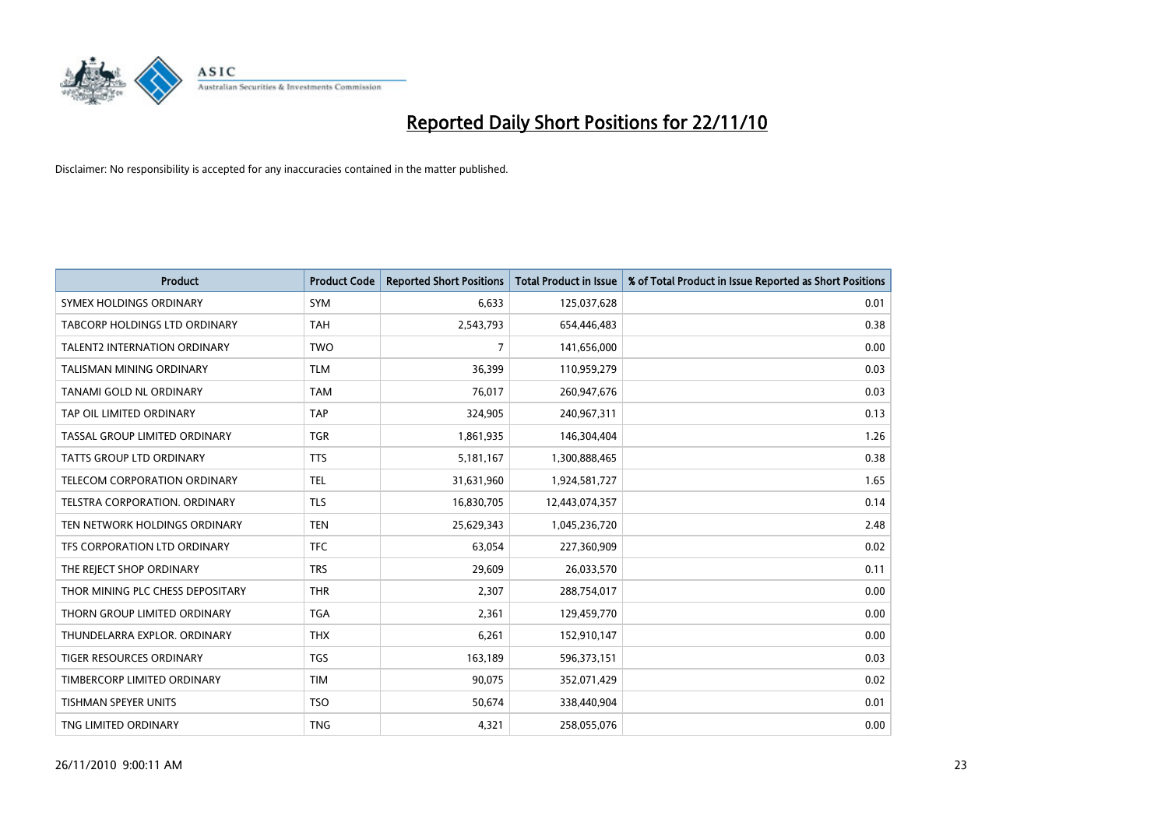

| <b>Product</b>                      | <b>Product Code</b> | <b>Reported Short Positions</b> | <b>Total Product in Issue</b> | % of Total Product in Issue Reported as Short Positions |
|-------------------------------------|---------------------|---------------------------------|-------------------------------|---------------------------------------------------------|
| SYMEX HOLDINGS ORDINARY             | <b>SYM</b>          | 6,633                           | 125,037,628                   | 0.01                                                    |
| TABCORP HOLDINGS LTD ORDINARY       | <b>TAH</b>          | 2,543,793                       | 654,446,483                   | 0.38                                                    |
| <b>TALENT2 INTERNATION ORDINARY</b> | <b>TWO</b>          | 7                               | 141,656,000                   | 0.00                                                    |
| TALISMAN MINING ORDINARY            | <b>TLM</b>          | 36,399                          | 110,959,279                   | 0.03                                                    |
| TANAMI GOLD NL ORDINARY             | <b>TAM</b>          | 76,017                          | 260,947,676                   | 0.03                                                    |
| TAP OIL LIMITED ORDINARY            | <b>TAP</b>          | 324,905                         | 240,967,311                   | 0.13                                                    |
| TASSAL GROUP LIMITED ORDINARY       | <b>TGR</b>          | 1,861,935                       | 146,304,404                   | 1.26                                                    |
| TATTS GROUP LTD ORDINARY            | <b>TTS</b>          | 5,181,167                       | 1,300,888,465                 | 0.38                                                    |
| TELECOM CORPORATION ORDINARY        | <b>TEL</b>          | 31,631,960                      | 1,924,581,727                 | 1.65                                                    |
| TELSTRA CORPORATION, ORDINARY       | <b>TLS</b>          | 16,830,705                      | 12,443,074,357                | 0.14                                                    |
| TEN NETWORK HOLDINGS ORDINARY       | <b>TEN</b>          | 25,629,343                      | 1,045,236,720                 | 2.48                                                    |
| TFS CORPORATION LTD ORDINARY        | <b>TFC</b>          | 63,054                          | 227,360,909                   | 0.02                                                    |
| THE REJECT SHOP ORDINARY            | <b>TRS</b>          | 29.609                          | 26,033,570                    | 0.11                                                    |
| THOR MINING PLC CHESS DEPOSITARY    | <b>THR</b>          | 2,307                           | 288,754,017                   | 0.00                                                    |
| THORN GROUP LIMITED ORDINARY        | <b>TGA</b>          | 2,361                           | 129,459,770                   | 0.00                                                    |
| THUNDELARRA EXPLOR. ORDINARY        | <b>THX</b>          | 6,261                           | 152,910,147                   | 0.00                                                    |
| <b>TIGER RESOURCES ORDINARY</b>     | <b>TGS</b>          | 163,189                         | 596,373,151                   | 0.03                                                    |
| TIMBERCORP LIMITED ORDINARY         | <b>TIM</b>          | 90,075                          | 352,071,429                   | 0.02                                                    |
| <b>TISHMAN SPEYER UNITS</b>         | <b>TSO</b>          | 50,674                          | 338,440,904                   | 0.01                                                    |
| TNG LIMITED ORDINARY                | <b>TNG</b>          | 4,321                           | 258,055,076                   | 0.00                                                    |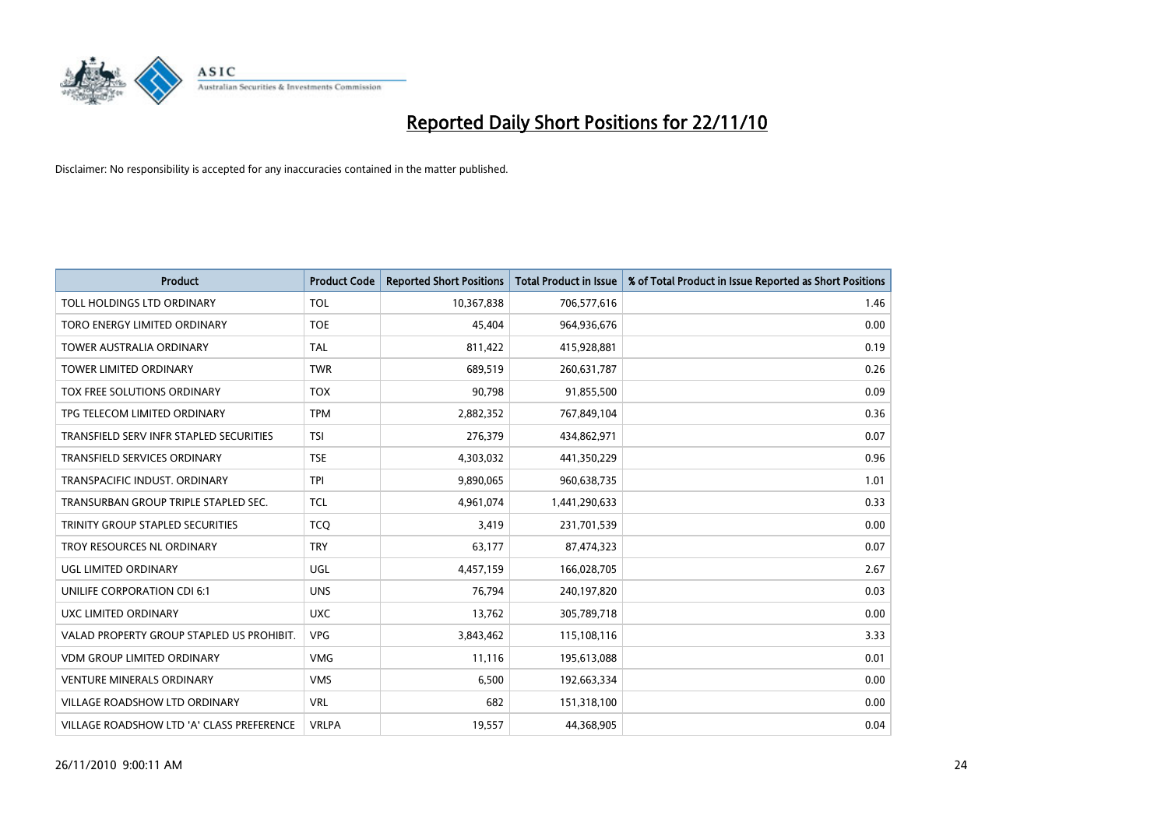

| <b>Product</b>                            | <b>Product Code</b> | <b>Reported Short Positions</b> | Total Product in Issue | % of Total Product in Issue Reported as Short Positions |
|-------------------------------------------|---------------------|---------------------------------|------------------------|---------------------------------------------------------|
| <b>TOLL HOLDINGS LTD ORDINARY</b>         | <b>TOL</b>          | 10,367,838                      | 706,577,616            | 1.46                                                    |
| TORO ENERGY LIMITED ORDINARY              | <b>TOE</b>          | 45,404                          | 964,936,676            | 0.00                                                    |
| <b>TOWER AUSTRALIA ORDINARY</b>           | <b>TAL</b>          | 811,422                         | 415,928,881            | 0.19                                                    |
| TOWER LIMITED ORDINARY                    | <b>TWR</b>          | 689,519                         | 260,631,787            | 0.26                                                    |
| <b>TOX FREE SOLUTIONS ORDINARY</b>        | <b>TOX</b>          | 90,798                          | 91,855,500             | 0.09                                                    |
| TPG TELECOM LIMITED ORDINARY              | <b>TPM</b>          | 2,882,352                       | 767,849,104            | 0.36                                                    |
| TRANSFIELD SERV INFR STAPLED SECURITIES   | <b>TSI</b>          | 276,379                         | 434,862,971            | 0.07                                                    |
| <b>TRANSFIELD SERVICES ORDINARY</b>       | <b>TSE</b>          | 4,303,032                       | 441,350,229            | 0.96                                                    |
| TRANSPACIFIC INDUST. ORDINARY             | <b>TPI</b>          | 9,890,065                       | 960,638,735            | 1.01                                                    |
| TRANSURBAN GROUP TRIPLE STAPLED SEC.      | <b>TCL</b>          | 4,961,074                       | 1,441,290,633          | 0.33                                                    |
| TRINITY GROUP STAPLED SECURITIES          | <b>TCQ</b>          | 3,419                           | 231,701,539            | 0.00                                                    |
| TROY RESOURCES NL ORDINARY                | <b>TRY</b>          | 63,177                          | 87,474,323             | 0.07                                                    |
| <b>UGL LIMITED ORDINARY</b>               | <b>UGL</b>          | 4,457,159                       | 166,028,705            | 2.67                                                    |
| UNILIFE CORPORATION CDI 6:1               | <b>UNS</b>          | 76.794                          | 240,197,820            | 0.03                                                    |
| UXC LIMITED ORDINARY                      | <b>UXC</b>          | 13,762                          | 305,789,718            | 0.00                                                    |
| VALAD PROPERTY GROUP STAPLED US PROHIBIT. | <b>VPG</b>          | 3,843,462                       | 115,108,116            | 3.33                                                    |
| <b>VDM GROUP LIMITED ORDINARY</b>         | <b>VMG</b>          | 11,116                          | 195,613,088            | 0.01                                                    |
| <b>VENTURE MINERALS ORDINARY</b>          | <b>VMS</b>          | 6,500                           | 192,663,334            | 0.00                                                    |
| <b>VILLAGE ROADSHOW LTD ORDINARY</b>      | <b>VRL</b>          | 682                             | 151,318,100            | 0.00                                                    |
| VILLAGE ROADSHOW LTD 'A' CLASS PREFERENCE | <b>VRLPA</b>        | 19,557                          | 44,368,905             | 0.04                                                    |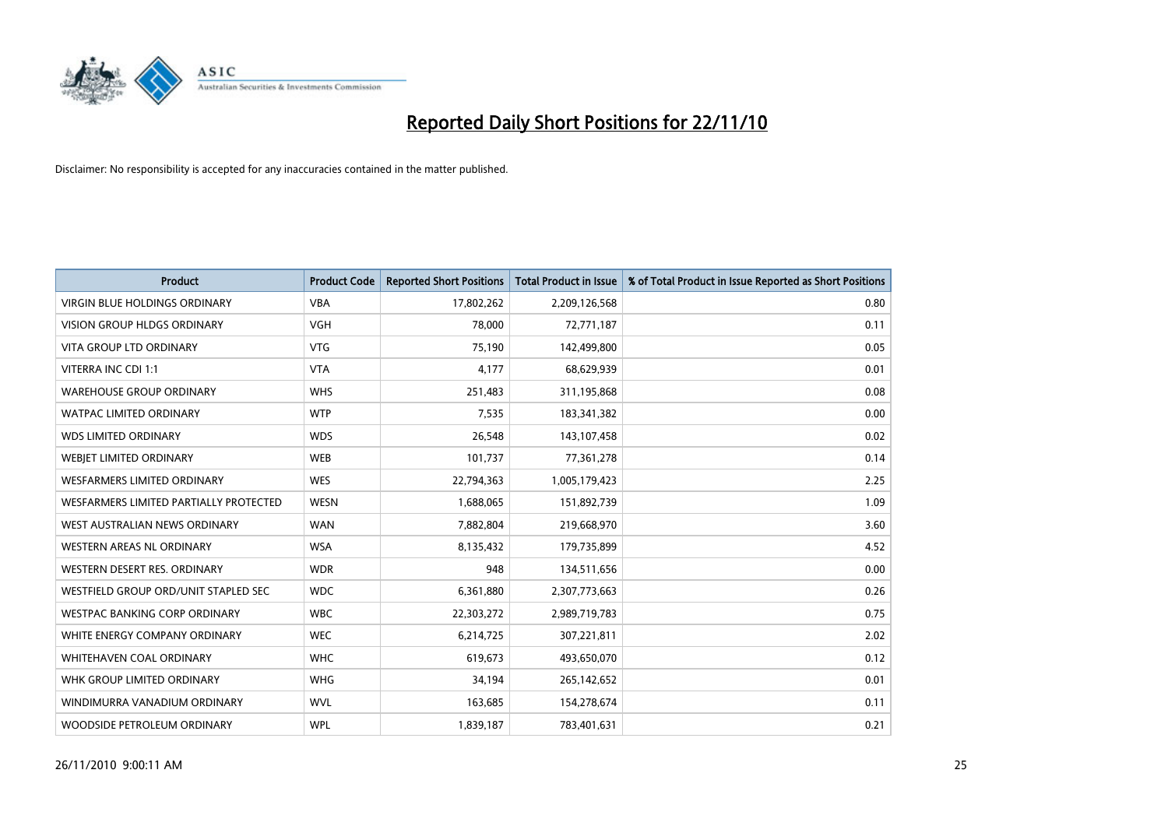

| <b>Product</b>                         | <b>Product Code</b> | <b>Reported Short Positions</b> | Total Product in Issue | % of Total Product in Issue Reported as Short Positions |
|----------------------------------------|---------------------|---------------------------------|------------------------|---------------------------------------------------------|
| <b>VIRGIN BLUE HOLDINGS ORDINARY</b>   | <b>VBA</b>          | 17,802,262                      | 2,209,126,568          | 0.80                                                    |
| VISION GROUP HLDGS ORDINARY            | <b>VGH</b>          | 78,000                          | 72,771,187             | 0.11                                                    |
| <b>VITA GROUP LTD ORDINARY</b>         | <b>VTG</b>          | 75,190                          | 142,499,800            | 0.05                                                    |
| VITERRA INC CDI 1:1                    | <b>VTA</b>          | 4,177                           | 68,629,939             | 0.01                                                    |
| <b>WAREHOUSE GROUP ORDINARY</b>        | <b>WHS</b>          | 251,483                         | 311,195,868            | 0.08                                                    |
| <b>WATPAC LIMITED ORDINARY</b>         | <b>WTP</b>          | 7,535                           | 183,341,382            | 0.00                                                    |
| <b>WDS LIMITED ORDINARY</b>            | <b>WDS</b>          | 26,548                          | 143,107,458            | 0.02                                                    |
| WEBJET LIMITED ORDINARY                | <b>WEB</b>          | 101,737                         | 77,361,278             | 0.14                                                    |
| <b>WESFARMERS LIMITED ORDINARY</b>     | <b>WES</b>          | 22,794,363                      | 1,005,179,423          | 2.25                                                    |
| WESFARMERS LIMITED PARTIALLY PROTECTED | <b>WESN</b>         | 1,688,065                       | 151,892,739            | 1.09                                                    |
| WEST AUSTRALIAN NEWS ORDINARY          | <b>WAN</b>          | 7,882,804                       | 219,668,970            | 3.60                                                    |
| <b>WESTERN AREAS NL ORDINARY</b>       | <b>WSA</b>          | 8,135,432                       | 179,735,899            | 4.52                                                    |
| WESTERN DESERT RES. ORDINARY           | <b>WDR</b>          | 948                             | 134,511,656            | 0.00                                                    |
| WESTFIELD GROUP ORD/UNIT STAPLED SEC   | <b>WDC</b>          | 6,361,880                       | 2,307,773,663          | 0.26                                                    |
| <b>WESTPAC BANKING CORP ORDINARY</b>   | <b>WBC</b>          | 22,303,272                      | 2,989,719,783          | 0.75                                                    |
| WHITE ENERGY COMPANY ORDINARY          | <b>WEC</b>          | 6,214,725                       | 307,221,811            | 2.02                                                    |
| <b>WHITEHAVEN COAL ORDINARY</b>        | <b>WHC</b>          | 619,673                         | 493,650,070            | 0.12                                                    |
| WHK GROUP LIMITED ORDINARY             | <b>WHG</b>          | 34,194                          | 265,142,652            | 0.01                                                    |
| WINDIMURRA VANADIUM ORDINARY           | <b>WVL</b>          | 163,685                         | 154,278,674            | 0.11                                                    |
| WOODSIDE PETROLEUM ORDINARY            | <b>WPL</b>          | 1,839,187                       | 783,401,631            | 0.21                                                    |